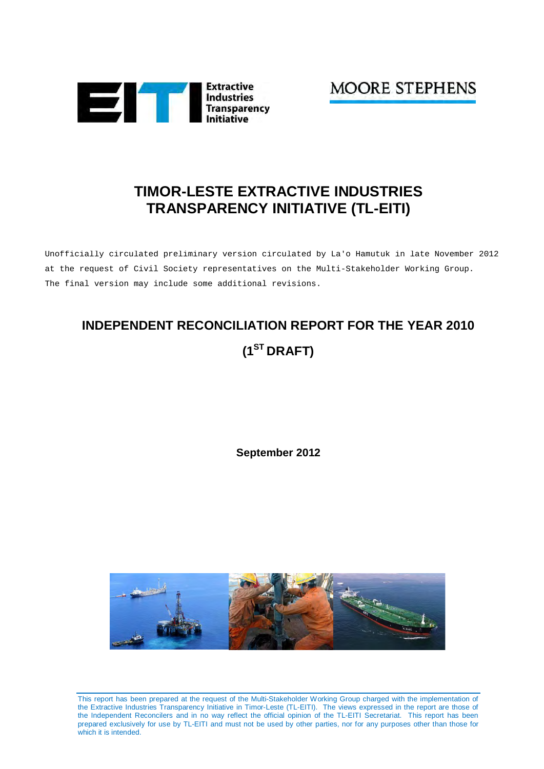

**MOORE STEPHENS** 

# **TIMOR-LESTE EXTRACTIVE INDUSTRIES TRANSPARENCY INITIATIVE (TL-EITI)**

Unofficially circulated preliminary version circulated by La'o Hamutuk in late November 2012 at the request of Civil Society representatives on the Multi-Stakeholder Working Group. The final version may include some additional revisions.

# **INDEPENDENT RECONCILIATION REPORT FOR THE YEAR 2010 (1ST DRAFT)**

**September 2012** 



This report has been prepared at the request of the Multi-Stakeholder Working Group charged with the implementation of the Extractive Industries Transparency Initiative in Timor-Leste (TL-EITI). The views expressed in the report are those of the Independent Reconcilers and in no way reflect the official opinion of the TL-EITI Secretariat. This report has been prepared exclusively for use by TL-EITI and must not be used by other parties, nor for any purposes other than those for which it is intended.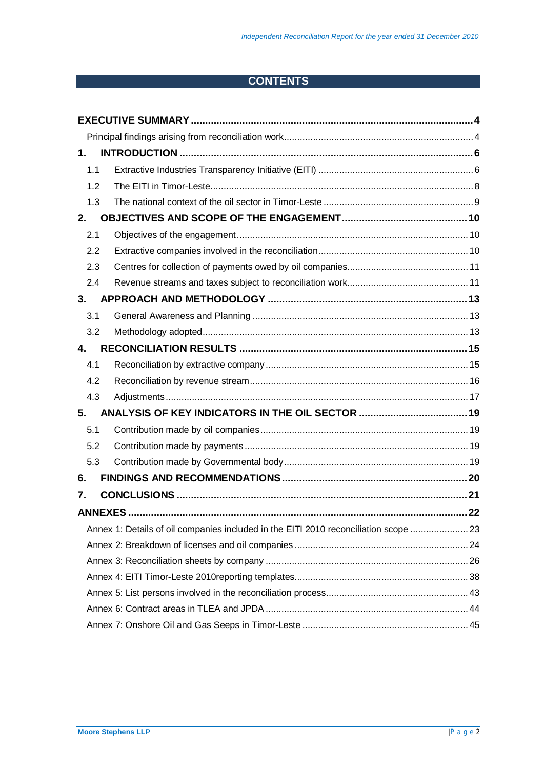# **CONTENTS**

| 1.  |                                                                                      |  |
|-----|--------------------------------------------------------------------------------------|--|
| 1.1 |                                                                                      |  |
| 1.2 |                                                                                      |  |
| 1.3 |                                                                                      |  |
| 2.  |                                                                                      |  |
| 2.1 |                                                                                      |  |
| 2.2 |                                                                                      |  |
| 2.3 |                                                                                      |  |
| 2.4 |                                                                                      |  |
| 3.  |                                                                                      |  |
| 3.1 |                                                                                      |  |
| 3.2 |                                                                                      |  |
| 4.  |                                                                                      |  |
| 4.1 |                                                                                      |  |
| 4.2 |                                                                                      |  |
| 4.3 |                                                                                      |  |
| 5.  |                                                                                      |  |
| 5.1 |                                                                                      |  |
| 5.2 |                                                                                      |  |
| 5.3 |                                                                                      |  |
| 6.  |                                                                                      |  |
| 7.  |                                                                                      |  |
|     |                                                                                      |  |
|     | Annex 1: Details of oil companies included in the EITI 2010 reconciliation scope  23 |  |
|     |                                                                                      |  |
|     |                                                                                      |  |
|     |                                                                                      |  |
|     |                                                                                      |  |
|     |                                                                                      |  |
|     |                                                                                      |  |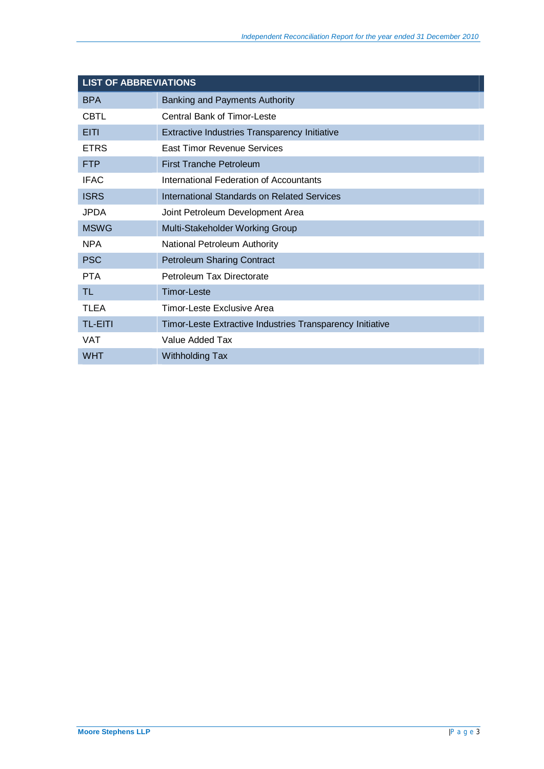| <b>LIST OF ABBREVIATIONS</b> |                                                           |  |  |  |  |  |  |
|------------------------------|-----------------------------------------------------------|--|--|--|--|--|--|
| <b>BPA</b>                   | Banking and Payments Authority                            |  |  |  |  |  |  |
| <b>CBTL</b>                  | Central Bank of Timor-Leste                               |  |  |  |  |  |  |
| <b>EITI</b>                  | Extractive Industries Transparency Initiative             |  |  |  |  |  |  |
| <b>ETRS</b>                  | East Timor Revenue Services                               |  |  |  |  |  |  |
| <b>FTP</b>                   | <b>First Tranche Petroleum</b>                            |  |  |  |  |  |  |
| <b>IFAC</b>                  | International Federation of Accountants                   |  |  |  |  |  |  |
| <b>ISRS</b>                  | International Standards on Related Services               |  |  |  |  |  |  |
| JPDA.                        | Joint Petroleum Development Area                          |  |  |  |  |  |  |
| <b>MSWG</b>                  | Multi-Stakeholder Working Group                           |  |  |  |  |  |  |
| <b>NPA</b>                   | National Petroleum Authority                              |  |  |  |  |  |  |
| <b>PSC</b>                   | <b>Petroleum Sharing Contract</b>                         |  |  |  |  |  |  |
| <b>PTA</b>                   | Petroleum Tax Directorate                                 |  |  |  |  |  |  |
| TL                           | <b>Timor-Leste</b>                                        |  |  |  |  |  |  |
| <b>TLEA</b>                  | Timor-Leste Exclusive Area                                |  |  |  |  |  |  |
| <b>TL-EITI</b>               | Timor-Leste Extractive Industries Transparency Initiative |  |  |  |  |  |  |
| <b>VAT</b>                   | Value Added Tax                                           |  |  |  |  |  |  |
| <b>WHT</b>                   | <b>Withholding Tax</b>                                    |  |  |  |  |  |  |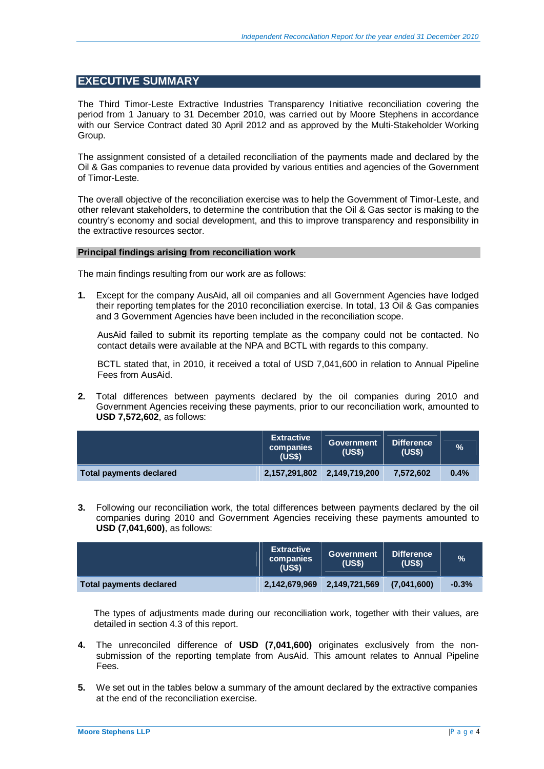## **EXECUTIVE SUMMARY**

The Third Timor-Leste Extractive Industries Transparency Initiative reconciliation covering the period from 1 January to 31 December 2010, was carried out by Moore Stephens in accordance with our Service Contract dated 30 April 2012 and as approved by the Multi-Stakeholder Working Group.

The assignment consisted of a detailed reconciliation of the payments made and declared by the Oil & Gas companies to revenue data provided by various entities and agencies of the Government of Timor-Leste.

The overall objective of the reconciliation exercise was to help the Government of Timor-Leste, and other relevant stakeholders, to determine the contribution that the Oil & Gas sector is making to the country's economy and social development, and this to improve transparency and responsibility in the extractive resources sector.

#### **Principal findings arising from reconciliation work**

The main findings resulting from our work are as follows:

**1.** Except for the company AusAid, all oil companies and all Government Agencies have lodged their reporting templates for the 2010 reconciliation exercise. In total, 13 Oil & Gas companies and 3 Government Agencies have been included in the reconciliation scope.

AusAid failed to submit its reporting template as the company could not be contacted. No contact details were available at the NPA and BCTL with regards to this company.

BCTL stated that, in 2010, it received a total of USD 7,041,600 in relation to Annual Pipeline Fees from AusAid.

**2.** Total differences between payments declared by the oil companies during 2010 and Government Agencies receiving these payments, prior to our reconciliation work, amounted to **USD 7,572,602**, as follows:

|                         | <b>Extractive</b><br>companies<br>(US <sub>3</sub> ) | <b>Government</b><br>(USS) | <b>Difference</b><br><b>(US\$)</b> | $\%$ |
|-------------------------|------------------------------------------------------|----------------------------|------------------------------------|------|
| Total payments declared | 2,157,291,802 2,149,719,200                          |                            | 7.572.602                          | 0.4% |

**3.** Following our reconciliation work, the total differences between payments declared by the oil companies during 2010 and Government Agencies receiving these payments amounted to **USD (7,041,600)**, as follows:

|                                | <b>Extractive</b><br>companies<br>(US\$) | <b>Government</b><br>(US\$) | <b>Difference</b><br>(US\$) | $\frac{9}{6}$ |
|--------------------------------|------------------------------------------|-----------------------------|-----------------------------|---------------|
| <b>Total payments declared</b> |                                          | 2,142,679,969 2,149,721,569 | (7,041,600)                 | $-0.3%$       |

The types of adjustments made during our reconciliation work, together with their values, are detailed in section 4.3 of this report.

- **4.** The unreconciled difference of **USD (7,041,600)** originates exclusively from the nonsubmission of the reporting template from AusAid. This amount relates to Annual Pipeline Fees.
- **5.** We set out in the tables below a summary of the amount declared by the extractive companies at the end of the reconciliation exercise.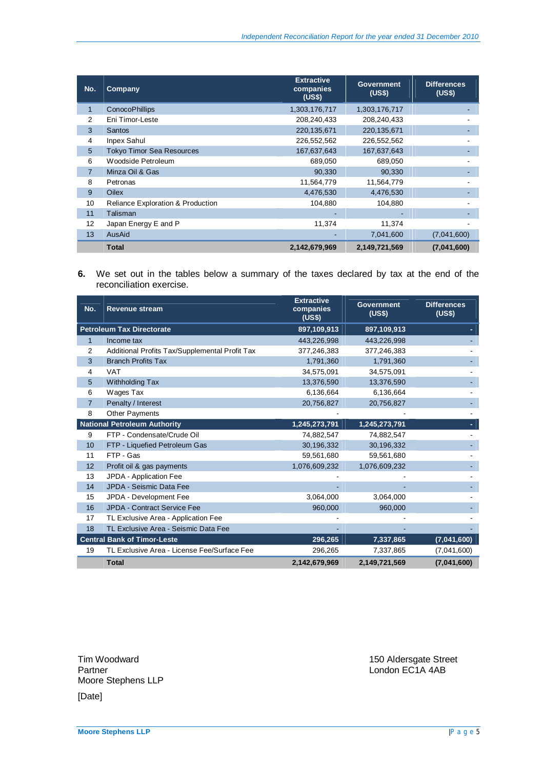| No.            | Company                                      | <b>Extractive</b><br>companies<br>(US\$) | <b>Government</b><br>(US\$) | <b>Differences</b><br>(US\$) |
|----------------|----------------------------------------------|------------------------------------------|-----------------------------|------------------------------|
| 1              | <b>ConocoPhillips</b>                        | 1,303,176,717                            | 1,303,176,717               |                              |
| 2              | Eni Timor-Leste                              | 208,240,433                              | 208,240,433                 |                              |
| 3              | <b>Santos</b>                                | 220,135,671                              | 220, 135, 671               |                              |
| 4              | <b>Inpex Sahul</b>                           | 226,552,562                              | 226,552,562                 |                              |
| 5 <sup>5</sup> | <b>Tokyo Timor Sea Resources</b>             | 167,637,643                              | 167,637,643                 |                              |
| 6              | Woodside Petroleum                           | 689,050                                  | 689,050                     |                              |
| $\overline{7}$ | Minza Oil & Gas                              | 90,330                                   | 90,330                      |                              |
| 8              | Petronas                                     | 11,564,779                               | 11,564,779                  |                              |
| 9              | <b>Oilex</b>                                 | 4,476,530                                | 4,476,530                   |                              |
| 10             | <b>Reliance Exploration &amp; Production</b> | 104,880                                  | 104,880                     |                              |
| 11             | Talisman                                     |                                          |                             |                              |
| 12             | Japan Energy E and P                         | 11,374                                   | 11,374                      |                              |
| 13             | AusAid                                       |                                          | 7,041,600                   | (7.041,600)                  |
|                | <b>Total</b>                                 | 2,142,679,969                            | 2,149,721,569               | (7,041,600)                  |

**6.** We set out in the tables below a summary of the taxes declared by tax at the end of the reconciliation exercise.

| No.            | <b>Revenue stream</b>                          | <b>Extractive</b><br>companies<br>(US\$) | <b>Government</b><br>(US\$) | <b>Differences</b><br>(US\$) |
|----------------|------------------------------------------------|------------------------------------------|-----------------------------|------------------------------|
|                | <b>Petroleum Tax Directorate</b>               | 897,109,913                              | 897,109,913                 |                              |
| 1              | Income tax                                     | 443,226,998                              | 443,226,998                 |                              |
| 2              | Additional Profits Tax/Supplemental Profit Tax | 377,246,383                              | 377,246,383                 |                              |
| 3              | <b>Branch Profits Tax</b>                      | 1,791,360                                | 1,791,360                   |                              |
| 4              | <b>VAT</b>                                     | 34,575,091                               | 34,575,091                  |                              |
| 5              | Withholding Tax                                | 13,376,590                               | 13,376,590                  |                              |
| 6              | Wages Tax                                      | 6,136,664                                | 6,136,664                   |                              |
| $\overline{7}$ | Penalty / Interest                             | 20,756,827                               | 20,756,827                  |                              |
| 8              | Other Payments                                 |                                          |                             |                              |
|                | <b>National Petroleum Authority</b>            | 1,245,273,791                            | 1,245,273,791               |                              |
| 9              | FTP - Condensate/Crude Oil                     | 74,882,547                               | 74,882,547                  |                              |
| 10             | FTP - Liquefied Petroleum Gas                  | 30,196,332                               | 30,196,332                  |                              |
| 11             | FTP - Gas                                      | 59,561,680                               | 59,561,680                  |                              |
| 12             | Profit oil & gas payments                      | 1,076,609,232                            | 1,076,609,232               |                              |
| 13             | JPDA - Application Fee                         |                                          |                             |                              |
| 14             | JPDA - Seismic Data Fee                        |                                          |                             |                              |
| 15             | JPDA - Development Fee                         | 3,064,000                                | 3,064,000                   |                              |
| 16             | JPDA - Contract Service Fee                    | 960,000                                  | 960,000                     |                              |
| 17             | TL Exclusive Area - Application Fee            |                                          |                             |                              |
| 18             | TL Exclusive Area - Seismic Data Fee           |                                          |                             |                              |
|                | <b>Central Bank of Timor-Leste</b>             | 296,265                                  | 7,337,865                   | (7,041,600)                  |
| 19             | TL Exclusive Area - License Fee/Surface Fee    | 296,265                                  | 7,337,865                   | (7,041,600)                  |
|                | <b>Total</b>                                   | 2,142,679,969                            | 2,149,721,569               | (7,041,600)                  |

Moore Stephens LLP [Date]

Tim Woodward 150 Aldersgate Street<br>
Partner 150 Aldersgate Street<br>
London EC1A 4AB London EC1A 4AB

**Moore Stephens LLP** |Page 5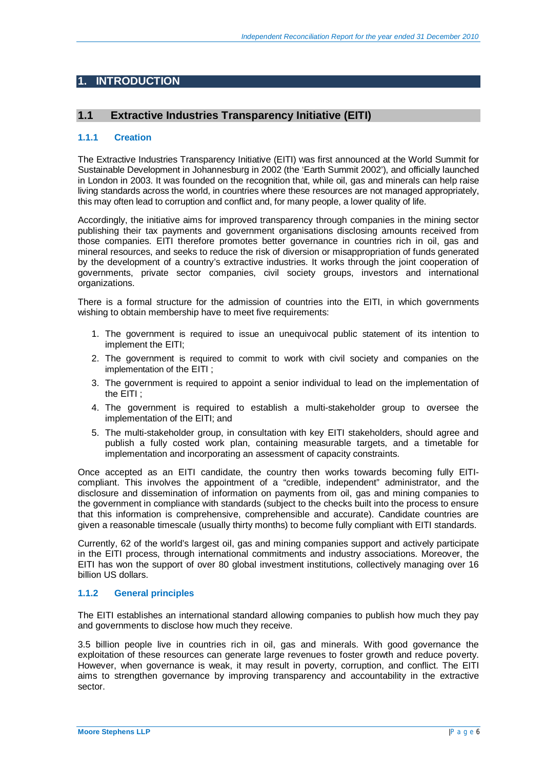## **1. INTRODUCTION**

### **1.1 Extractive Industries Transparency Initiative (EITI)**

#### **1.1.1 Creation**

The Extractive Industries Transparency Initiative (EITI) was first announced at the World Summit for Sustainable Development in Johannesburg in 2002 (the 'Earth Summit 2002'), and officially launched in London in 2003. It was founded on the recognition that, while oil, gas and minerals can help raise living standards across the world, in countries where these resources are not managed appropriately, this may often lead to corruption and conflict and, for many people, a lower quality of life.

Accordingly, the initiative aims for improved transparency through companies in the mining sector publishing their tax payments and government organisations disclosing amounts received from those companies. EITI therefore promotes better governance in countries rich in oil, gas and mineral resources, and seeks to reduce the risk of diversion or misappropriation of funds generated by the development of a country's extractive industries. It works through the joint cooperation of governments, private sector companies, civil society groups, investors and international organizations.

There is a formal structure for the admission of countries into the EITI, in which governments wishing to obtain membership have to meet five requirements:

- 1. The government is required to issue an unequivocal public statement of its intention to implement the EITI;
- 2. The government is required to commit to work with civil society and companies on the implementation of the EITI ;
- 3. The government is required to appoint a senior individual to lead on the implementation of the EITI ;
- 4. The government is required to establish a multi-stakeholder group to oversee the implementation of the EITI; and
- 5. The multi-stakeholder group, in consultation with key EITI stakeholders, should agree and publish a fully costed work plan, containing measurable targets, and a timetable for implementation and incorporating an assessment of capacity constraints.

Once accepted as an EITI candidate, the country then works towards becoming fully EITIcompliant. This involves the appointment of a "credible, independent" administrator, and the disclosure and dissemination of information on payments from oil, gas and mining companies to the government in compliance with standards (subject to the checks built into the process to ensure that this information is comprehensive, comprehensible and accurate). Candidate countries are given a reasonable timescale (usually thirty months) to become fully compliant with EITI standards.

Currently, 62 of the world's largest oil, gas and mining companies support and actively participate in the EITI process, through international commitments and industry associations. Moreover, the EITI has won the support of over 80 global investment institutions, collectively managing over 16 billion US dollars.

#### **1.1.2 General principles**

The EITI establishes an international standard allowing companies to publish how much they pay and governments to disclose how much they receive.

3.5 billion people live in countries rich in oil, gas and minerals. With good governance the exploitation of these resources can generate large revenues to foster growth and reduce poverty. However, when governance is weak, it may result in poverty, corruption, and conflict. The EITI aims to strengthen governance by improving transparency and accountability in the extractive sector.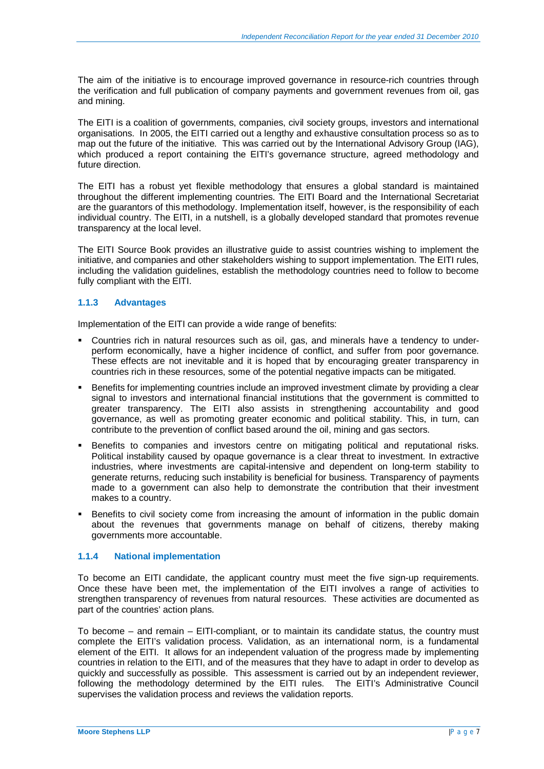The aim of the initiative is to encourage improved governance in resource-rich countries through the verification and full publication of company payments and government revenues from oil, gas and mining.

The EITI is a coalition of governments, companies, civil society groups, investors and international organisations. In 2005, the EITI carried out a lengthy and exhaustive consultation process so as to map out the future of the initiative. This was carried out by the International Advisory Group (IAG), which produced a report containing the EITI's governance structure, agreed methodology and future direction.

The EITI has a robust yet flexible methodology that ensures a global standard is maintained throughout the different implementing countries. The EITI Board and the International Secretariat are the guarantors of this methodology. Implementation itself, however, is the responsibility of each individual country. The EITI, in a nutshell, is a globally developed standard that promotes revenue transparency at the local level.

The EITI Source Book provides an illustrative guide to assist countries wishing to implement the initiative, and companies and other stakeholders wishing to support implementation. The EITI rules, including the validation guidelines, establish the methodology countries need to follow to become fully compliant with the EITI.

### **1.1.3 Advantages**

Implementation of the EITI can provide a wide range of benefits:

- Countries rich in natural resources such as oil, gas, and minerals have a tendency to underperform economically, have a higher incidence of conflict, and suffer from poor governance. These effects are not inevitable and it is hoped that by encouraging greater transparency in countries rich in these resources, some of the potential negative impacts can be mitigated.
- Benefits for implementing countries include an improved investment climate by providing a clear signal to investors and international financial institutions that the government is committed to greater transparency. The EITI also assists in strengthening accountability and good governance, as well as promoting greater economic and political stability. This, in turn, can contribute to the prevention of conflict based around the oil, mining and gas sectors.
- Benefits to companies and investors centre on mitigating political and reputational risks. Political instability caused by opaque governance is a clear threat to investment. In extractive industries, where investments are capital-intensive and dependent on long-term stability to generate returns, reducing such instability is beneficial for business. Transparency of payments made to a government can also help to demonstrate the contribution that their investment makes to a country.
- Benefits to civil society come from increasing the amount of information in the public domain about the revenues that governments manage on behalf of citizens, thereby making governments more accountable.

#### **1.1.4 National implementation**

To become an EITI candidate, the applicant country must meet the five sign-up requirements. Once these have been met, the implementation of the EITI involves a range of activities to strengthen transparency of revenues from natural resources. These activities are documented as part of the countries' action plans.

To become – and remain – EITI-compliant, or to maintain its candidate status, the country must complete the EITI's validation process. Validation, as an international norm, is a fundamental element of the EITI. It allows for an independent valuation of the progress made by implementing countries in relation to the EITI, and of the measures that they have to adapt in order to develop as quickly and successfully as possible. This assessment is carried out by an independent reviewer, following the methodology determined by the EITI rules. The EITI's Administrative Council supervises the validation process and reviews the validation reports.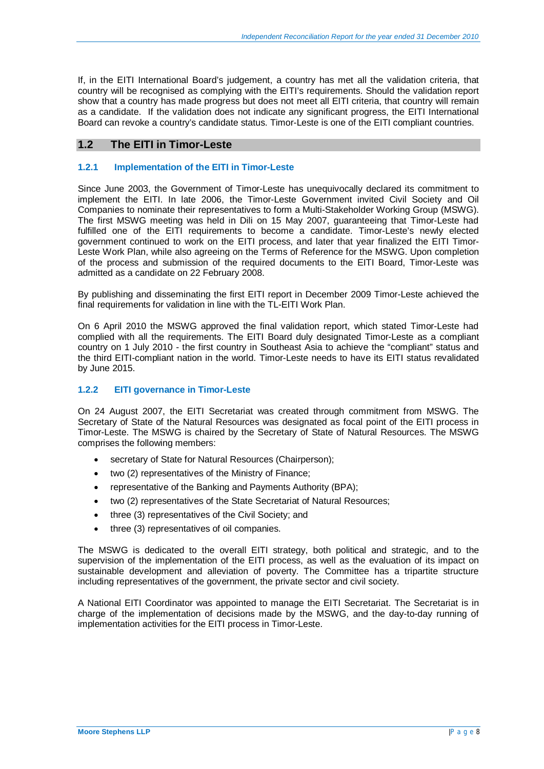If, in the EITI International Board's judgement, a country has met all the validation criteria, that country will be recognised as complying with the EITI's requirements. Should the validation report show that a country has made progress but does not meet all EITI criteria, that country will remain as a candidate. If the validation does not indicate any significant progress, the EITI International Board can revoke a country's candidate status. Timor-Leste is one of the EITI compliant countries.

## **1.2 The EITI in Timor-Leste**

#### **1.2.1 Implementation of the EITI in Timor-Leste**

Since June 2003, the Government of Timor-Leste has unequivocally declared its commitment to implement the EITI. In late 2006, the Timor-Leste Government invited Civil Society and Oil Companies to nominate their representatives to form a Multi-Stakeholder Working Group (MSWG). The first MSWG meeting was held in Dili on 15 May 2007, guaranteeing that Timor-Leste had fulfilled one of the EITI requirements to become a candidate. Timor-Leste's newly elected government continued to work on the EITI process, and later that year finalized the EITI Timor-Leste Work Plan, while also agreeing on the Terms of Reference for the MSWG. Upon completion of the process and submission of the required documents to the EITI Board, Timor-Leste was admitted as a candidate on 22 February 2008.

By publishing and disseminating the first EITI report in December 2009 Timor-Leste achieved the final requirements for validation in line with the TL-EITI Work Plan.

On 6 April 2010 the MSWG approved the final validation report, which stated Timor-Leste had complied with all the requirements. The EITI Board duly designated Timor-Leste as a compliant country on 1 July 2010 - the first country in Southeast Asia to achieve the "compliant" status and the third EITI-compliant nation in the world. Timor-Leste needs to have its EITI status revalidated by June 2015.

#### **1.2.2 EITI governance in Timor-Leste**

On 24 August 2007, the EITI Secretariat was created through commitment from MSWG. The Secretary of State of the Natural Resources was designated as focal point of the EITI process in Timor-Leste. The MSWG is chaired by the Secretary of State of Natural Resources. The MSWG comprises the following members:

- secretary of State for Natural Resources (Chairperson):
- two (2) representatives of the Ministry of Finance;
- representative of the Banking and Payments Authority (BPA);
- two (2) representatives of the State Secretariat of Natural Resources;
- three (3) representatives of the Civil Society; and
- three (3) representatives of oil companies.

The MSWG is dedicated to the overall EITI strategy, both political and strategic, and to the supervision of the implementation of the EITI process, as well as the evaluation of its impact on sustainable development and alleviation of poverty. The Committee has a tripartite structure including representatives of the government, the private sector and civil society.

A National EITI Coordinator was appointed to manage the EITI Secretariat. The Secretariat is in charge of the implementation of decisions made by the MSWG, and the day-to-day running of implementation activities for the EITI process in Timor-Leste.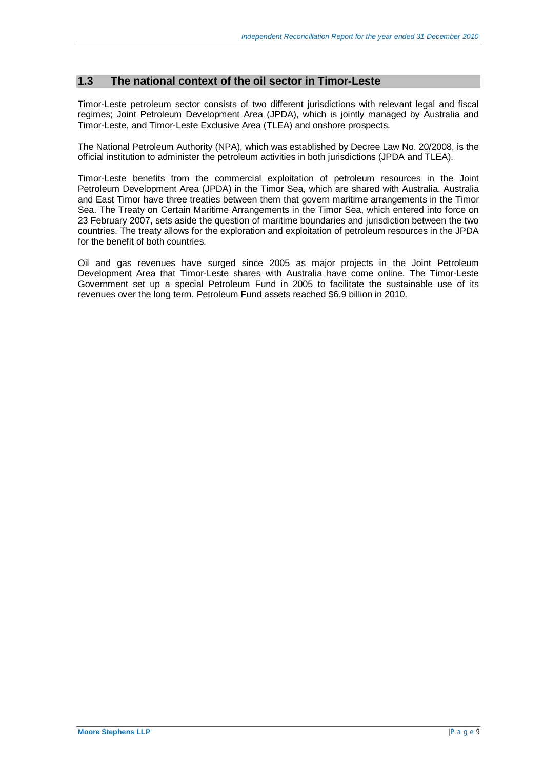### **1.3 The national context of the oil sector in Timor-Leste**

Timor-Leste petroleum sector consists of two different jurisdictions with relevant legal and fiscal regimes; Joint Petroleum Development Area (JPDA), which is jointly managed by Australia and Timor-Leste, and Timor-Leste Exclusive Area (TLEA) and onshore prospects.

The National Petroleum Authority (NPA), which was established by Decree Law No. 20/2008, is the official institution to administer the petroleum activities in both jurisdictions (JPDA and TLEA).

Timor-Leste benefits from the commercial exploitation of petroleum resources in the Joint Petroleum Development Area (JPDA) in the Timor Sea, which are shared with Australia. Australia and East Timor have three treaties between them that govern maritime arrangements in the Timor Sea. The Treaty on Certain Maritime Arrangements in the Timor Sea, which entered into force on 23 February 2007, sets aside the question of maritime boundaries and jurisdiction between the two countries. The treaty allows for the exploration and exploitation of petroleum resources in the JPDA for the benefit of both countries.

Oil and gas revenues have surged since 2005 as major projects in the Joint Petroleum Development Area that Timor-Leste shares with Australia have come online. The Timor-Leste Government set up a special Petroleum Fund in 2005 to facilitate the sustainable use of its revenues over the long term. Petroleum Fund assets reached \$6.9 billion in 2010.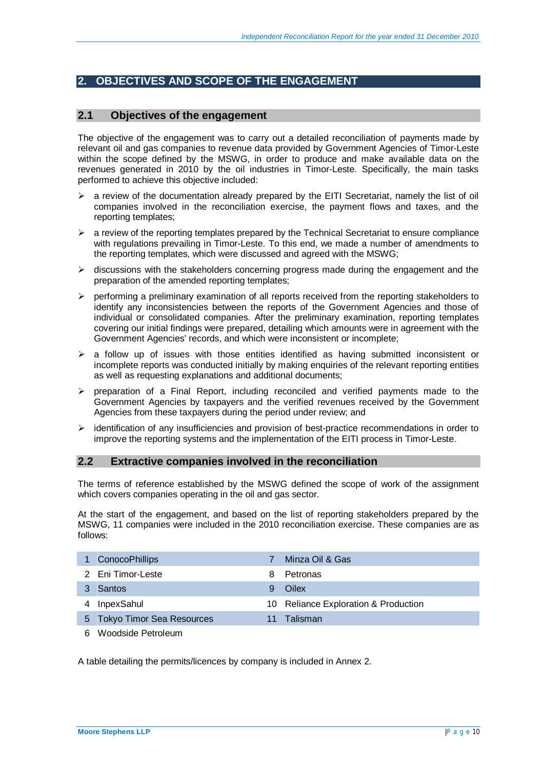## **2. OBJECTIVES AND SCOPE OF THE ENGAGEMENT**

### **2.1 Objectives of the engagement**

The objective of the engagement was to carry out a detailed reconciliation of payments made by relevant oil and gas companies to revenue data provided by Government Agencies of Timor-Leste within the scope defined by the MSWG, in order to produce and make available data on the revenues generated in 2010 by the oil industries in Timor-Leste. Specifically, the main tasks performed to achieve this objective included:

- ¾ a review of the documentation already prepared by the EITI Secretariat, namely the list of oil companies involved in the reconciliation exercise, the payment flows and taxes, and the reporting templates;
- $\triangleright$  a review of the reporting templates prepared by the Technical Secretariat to ensure compliance with regulations prevailing in Timor-Leste. To this end, we made a number of amendments to the reporting templates, which were discussed and agreed with the MSWG;
- $\triangleright$  discussions with the stakeholders concerning progress made during the engagement and the preparation of the amended reporting templates;
- $\triangleright$  performing a preliminary examination of all reports received from the reporting stakeholders to identify any inconsistencies between the reports of the Government Agencies and those of individual or consolidated companies. After the preliminary examination, reporting templates covering our initial findings were prepared, detailing which amounts were in agreement with the Government Agencies' records, and which were inconsistent or incomplete;
- $\triangleright$  a follow up of issues with those entities identified as having submitted inconsistent or incomplete reports was conducted initially by making enquiries of the relevant reporting entities as well as requesting explanations and additional documents;
- ¾ preparation of a Final Report, including reconciled and verified payments made to the Government Agencies by taxpayers and the verified revenues received by the Government Agencies from these taxpayers during the period under review; and
- $\geq$  identification of any insufficiencies and provision of best-practice recommendations in order to improve the reporting systems and the implementation of the EITI process in Timor-Leste.

#### **2.2 Extractive companies involved in the reconciliation**

The terms of reference established by the MSWG defined the scope of work of the assignment which covers companies operating in the oil and gas sector.

At the start of the engagement, and based on the list of reporting stakeholders prepared by the MSWG, 11 companies were included in the 2010 reconciliation exercise. These companies are as follows:

|   | 1 ConocoPhillips            |    | Minza Oil & Gas                      |
|---|-----------------------------|----|--------------------------------------|
|   | 2 Eni Timor-Leste           | 8. | Petronas                             |
|   | 3 Santos                    |    | Oilex                                |
| 4 | InpexSahul                  |    | 10 Reliance Exploration & Production |
|   | 5 Tokyo Timor Sea Resources |    | Talisman                             |
|   |                             |    |                                      |

6 Woodside Petroleum

A table detailing the permits/licences by company is included in Annex 2.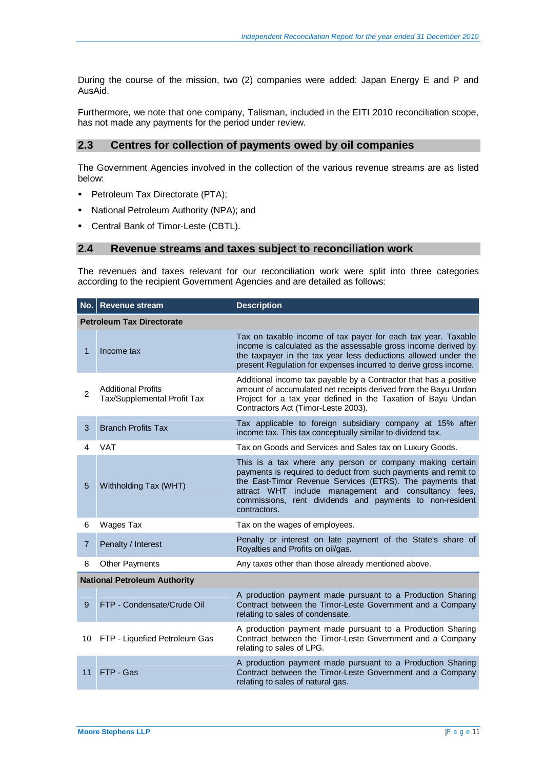During the course of the mission, two (2) companies were added: Japan Energy E and P and AusAid.

Furthermore, we note that one company, Talisman, included in the EITI 2010 reconciliation scope, has not made any payments for the period under review.

### **2.3 Centres for collection of payments owed by oil companies**

The Government Agencies involved in the collection of the various revenue streams are as listed below:

- **Petroleum Tax Directorate (PTA);**
- National Petroleum Authority (NPA); and
- Central Bank of Timor-Leste (CBTL).

#### **2.4 Revenue streams and taxes subject to reconciliation work**

The revenues and taxes relevant for our reconciliation work were split into three categories according to the recipient Government Agencies and are detailed as follows:

|                | No. Revenue stream                                       | <b>Description</b>                                                                                                                                                                                                                                                                                                          |
|----------------|----------------------------------------------------------|-----------------------------------------------------------------------------------------------------------------------------------------------------------------------------------------------------------------------------------------------------------------------------------------------------------------------------|
|                | <b>Petroleum Tax Directorate</b>                         |                                                                                                                                                                                                                                                                                                                             |
| 1              | Income tax                                               | Tax on taxable income of tax payer for each tax year. Taxable<br>income is calculated as the assessable gross income derived by<br>the taxpayer in the tax year less deductions allowed under the<br>present Regulation for expenses incurred to derive gross income.                                                       |
| $\mathfrak{p}$ | <b>Additional Profits</b><br>Tax/Supplemental Profit Tax | Additional income tax payable by a Contractor that has a positive<br>amount of accumulated net receipts derived from the Bayu Undan<br>Project for a tax year defined in the Taxation of Bayu Undan<br>Contractors Act (Timor-Leste 2003).                                                                                  |
| 3              | <b>Branch Profits Tax</b>                                | Tax applicable to foreign subsidiary company at 15% after<br>income tax. This tax conceptually similar to dividend tax.                                                                                                                                                                                                     |
| 4              | VAT                                                      | Tax on Goods and Services and Sales tax on Luxury Goods.                                                                                                                                                                                                                                                                    |
| 5              | Withholding Tax (WHT)                                    | This is a tax where any person or company making certain<br>payments is required to deduct from such payments and remit to<br>the East-Timor Revenue Services (ETRS). The payments that<br>attract WHT include management and consultancy fees,<br>commissions, rent dividends and payments to non-resident<br>contractors. |
| 6              | Wages Tax                                                | Tax on the wages of employees.                                                                                                                                                                                                                                                                                              |
| 7              | Penalty / Interest                                       | Penalty or interest on late payment of the State's share of<br>Royalties and Profits on oil/gas.                                                                                                                                                                                                                            |
| 8              | <b>Other Payments</b>                                    | Any taxes other than those already mentioned above.                                                                                                                                                                                                                                                                         |
|                | <b>National Petroleum Authority</b>                      |                                                                                                                                                                                                                                                                                                                             |
| 9              | FTP - Condensate/Crude Oil                               | A production payment made pursuant to a Production Sharing<br>Contract between the Timor-Leste Government and a Company<br>relating to sales of condensate.                                                                                                                                                                 |
| 10             | FTP - Liquefied Petroleum Gas                            | A production payment made pursuant to a Production Sharing<br>Contract between the Timor-Leste Government and a Company<br>relating to sales of LPG.                                                                                                                                                                        |
| 11             | FTP - Gas                                                | A production payment made pursuant to a Production Sharing<br>Contract between the Timor-Leste Government and a Company<br>relating to sales of natural gas.                                                                                                                                                                |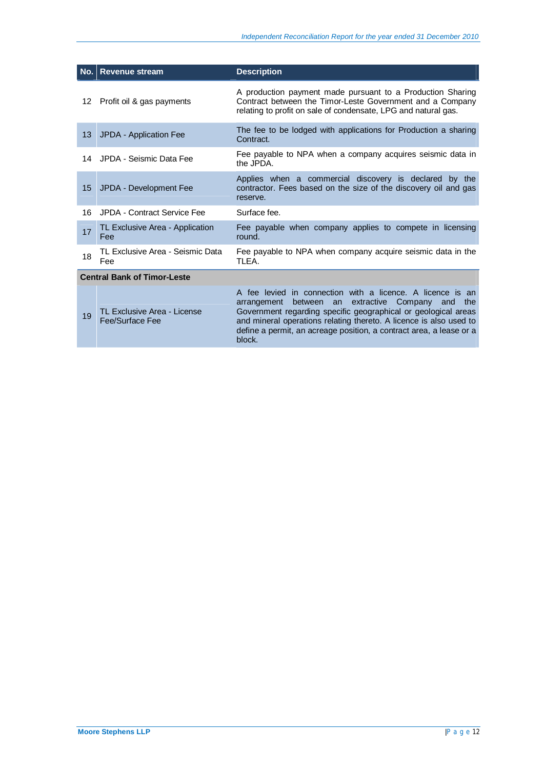|    | No. Revenue stream                             | <b>Description</b>                                                                                                                                                                                                                                                                                                                                   |
|----|------------------------------------------------|------------------------------------------------------------------------------------------------------------------------------------------------------------------------------------------------------------------------------------------------------------------------------------------------------------------------------------------------------|
| 12 | Profit oil & gas payments                      | A production payment made pursuant to a Production Sharing<br>Contract between the Timor-Leste Government and a Company<br>relating to profit on sale of condensate, LPG and natural gas.                                                                                                                                                            |
| 13 | JPDA - Application Fee                         | The fee to be lodged with applications for Production a sharing<br>Contract.                                                                                                                                                                                                                                                                         |
|    | 14 JPDA - Seismic Data Fee                     | Fee payable to NPA when a company acquires seismic data in<br>the JPDA.                                                                                                                                                                                                                                                                              |
| 15 | JPDA - Development Fee                         | Applies when a commercial discovery is declared by the<br>contractor. Fees based on the size of the discovery oil and gas<br>reserve.                                                                                                                                                                                                                |
| 16 | JPDA - Contract Service Fee                    | Surface fee.                                                                                                                                                                                                                                                                                                                                         |
| 17 | TL Exclusive Area - Application<br>Fee         | Fee payable when company applies to compete in licensing<br>round.                                                                                                                                                                                                                                                                                   |
| 18 | TL Exclusive Area - Seismic Data<br>Fee        | Fee payable to NPA when company acquire seismic data in the<br>TLEA.                                                                                                                                                                                                                                                                                 |
|    | <b>Central Bank of Timor-Leste</b>             |                                                                                                                                                                                                                                                                                                                                                      |
| 19 | TL Exclusive Area - License<br>Fee/Surface Fee | A fee levied in connection with a licence. A licence is an<br>between an<br>extractive Company<br>the<br>arrangement<br>and<br>Government regarding specific geographical or geological areas<br>and mineral operations relating thereto. A licence is also used to<br>define a permit, an acreage position, a contract area, a lease or a<br>block. |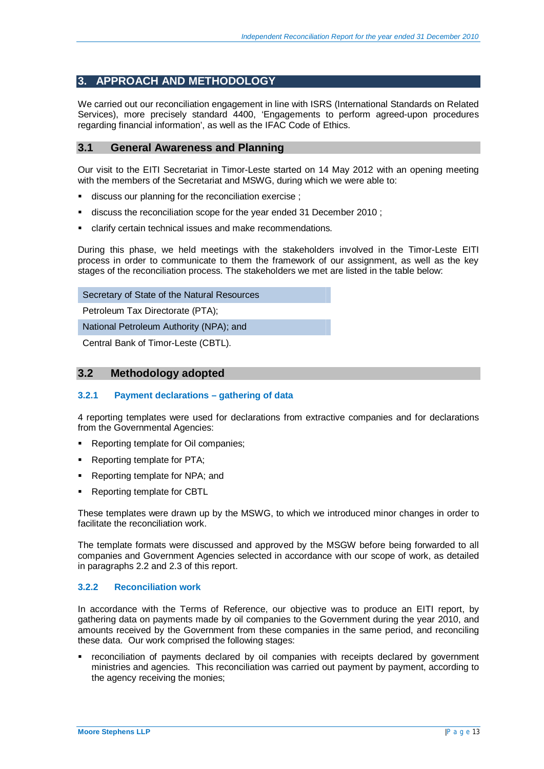## **3. APPROACH AND METHODOLOGY**

We carried out our reconciliation engagement in line with ISRS (International Standards on Related Services), more precisely standard 4400, 'Engagements to perform agreed-upon procedures regarding financial information', as well as the IFAC Code of Ethics.

### **3.1 General Awareness and Planning**

Our visit to the EITI Secretariat in Timor-Leste started on 14 May 2012 with an opening meeting with the members of the Secretariat and MSWG, during which we were able to:

- discuss our planning for the reconciliation exercise ;
- discuss the reconciliation scope for the year ended 31 December 2010 ;
- clarify certain technical issues and make recommendations.

During this phase, we held meetings with the stakeholders involved in the Timor-Leste EITI process in order to communicate to them the framework of our assignment, as well as the key stages of the reconciliation process. The stakeholders we met are listed in the table below:

Secretary of State of the Natural Resources

Petroleum Tax Directorate (PTA);

National Petroleum Authority (NPA); and

Central Bank of Timor-Leste (CBTL).

#### **3.2 Methodology adopted**

#### **3.2.1 Payment declarations – gathering of data**

4 reporting templates were used for declarations from extractive companies and for declarations from the Governmental Agencies:

- Reporting template for Oil companies;
- Reporting template for PTA;
- Reporting template for NPA; and
- Reporting template for CBTL

These templates were drawn up by the MSWG, to which we introduced minor changes in order to facilitate the reconciliation work.

The template formats were discussed and approved by the MSGW before being forwarded to all companies and Government Agencies selected in accordance with our scope of work, as detailed in paragraphs 2.2 and 2.3 of this report.

#### **3.2.2 Reconciliation work**

In accordance with the Terms of Reference, our objective was to produce an EITI report, by gathering data on payments made by oil companies to the Government during the year 2010, and amounts received by the Government from these companies in the same period, and reconciling these data. Our work comprised the following stages:

 reconciliation of payments declared by oil companies with receipts declared by government ministries and agencies. This reconciliation was carried out payment by payment, according to the agency receiving the monies;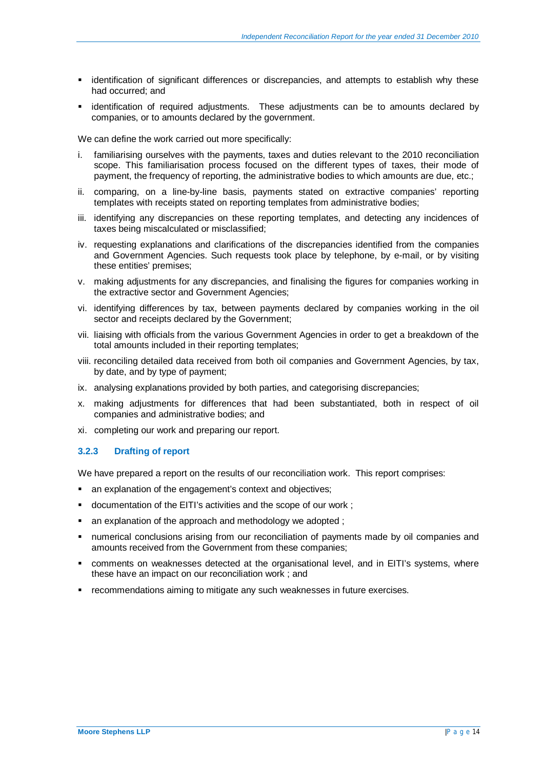- identification of significant differences or discrepancies, and attempts to establish why these had occurred; and
- identification of required adjustments. These adjustments can be to amounts declared by companies, or to amounts declared by the government.

We can define the work carried out more specifically:

- i. familiarising ourselves with the payments, taxes and duties relevant to the 2010 reconciliation scope. This familiarisation process focused on the different types of taxes, their mode of payment, the frequency of reporting, the administrative bodies to which amounts are due, etc.;
- ii. comparing, on a line-by-line basis, payments stated on extractive companies' reporting templates with receipts stated on reporting templates from administrative bodies;
- iii. identifying any discrepancies on these reporting templates, and detecting any incidences of taxes being miscalculated or misclassified;
- iv. requesting explanations and clarifications of the discrepancies identified from the companies and Government Agencies. Such requests took place by telephone, by e-mail, or by visiting these entities' premises;
- v. making adjustments for any discrepancies, and finalising the figures for companies working in the extractive sector and Government Agencies;
- vi. identifying differences by tax, between payments declared by companies working in the oil sector and receipts declared by the Government;
- vii. liaising with officials from the various Government Agencies in order to get a breakdown of the total amounts included in their reporting templates;
- viii. reconciling detailed data received from both oil companies and Government Agencies, by tax, by date, and by type of payment;
- ix. analysing explanations provided by both parties, and categorising discrepancies;
- x. making adjustments for differences that had been substantiated, both in respect of oil companies and administrative bodies; and
- xi. completing our work and preparing our report.

#### **3.2.3 Drafting of report**

We have prepared a report on the results of our reconciliation work. This report comprises:

- an explanation of the engagement's context and objectives;
- documentation of the EITI's activities and the scope of our work ;
- an explanation of the approach and methodology we adopted ;
- numerical conclusions arising from our reconciliation of payments made by oil companies and amounts received from the Government from these companies;
- comments on weaknesses detected at the organisational level, and in EITI's systems, where these have an impact on our reconciliation work ; and
- recommendations aiming to mitigate any such weaknesses in future exercises.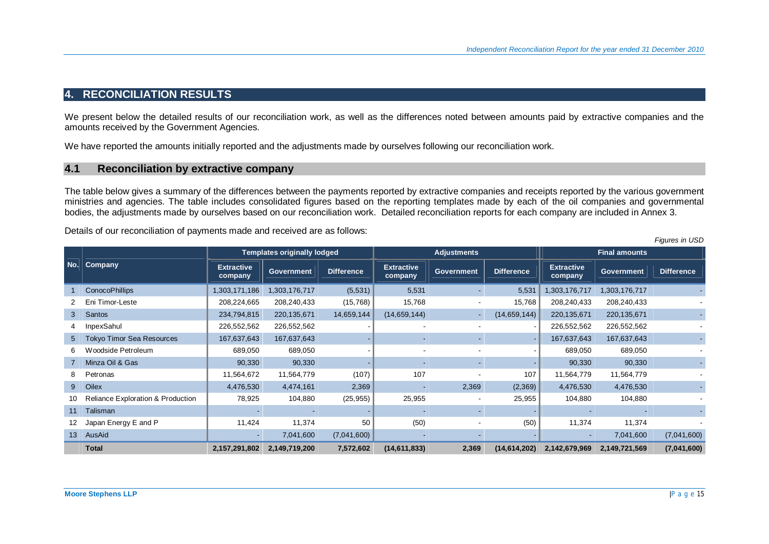## **4. RECONCILIATION RESULTS**

We present below the detailed results of our reconciliation work, as well as the differences noted between amounts paid by extractive companies and the amounts received by the Government Agencies.

We have reported the amounts initially reported and the adjustments made by ourselves following our reconciliation work.

### **4.1 Reconciliation by extractive company**

The table below gives a summary of the differences between the payments reported by extractive companies and receipts reported by the various government ministries and agencies. The table includes consolidated figures based on the reporting templates made by each of the oil companies and governmental bodies, the adjustments made by ourselves based on our reconciliation work. Detailed reconciliation reports for each company are included in Annex 3.

Details of our reconciliation of payments made and received are as follows:

|                  |                                              |                              | <b>Templates originally lodged</b> |             |                | <b>Adjustments</b><br><b>Extractive</b><br><b>Extractive</b><br><b>Difference</b><br><b>Difference</b><br><b>Government</b><br>company<br>company<br>5,531<br>5,531<br>1,303,176,717<br>(5,531)<br>٠<br>15,768<br>15,768<br>208,240,433<br>(15,768)<br>14,659,144<br>(14, 659, 144)<br>(14, 659, 144)<br>220,135,671<br>$\sim$<br>226,552,562<br>$\blacksquare$<br>167,637,643<br>689,050<br>90,330<br>٠<br>107<br>(107)<br>107<br>11,564,779<br>2,369<br>2,369<br>(2,369)<br>4,476,530<br>(25, 955)<br>25,955<br>25,955<br>104,880 | <b>Final amounts</b> |               |                   |                   |
|------------------|----------------------------------------------|------------------------------|------------------------------------|-------------|----------------|-------------------------------------------------------------------------------------------------------------------------------------------------------------------------------------------------------------------------------------------------------------------------------------------------------------------------------------------------------------------------------------------------------------------------------------------------------------------------------------------------------------------------------------|----------------------|---------------|-------------------|-------------------|
| No.              | Company                                      | <b>Extractive</b><br>company | <b>Government</b>                  |             |                |                                                                                                                                                                                                                                                                                                                                                                                                                                                                                                                                     |                      |               | <b>Government</b> | <b>Difference</b> |
|                  | <b>ConocoPhillips</b>                        | 1,303,171,186                | 1,303,176,717                      |             |                |                                                                                                                                                                                                                                                                                                                                                                                                                                                                                                                                     |                      |               | 1,303,176,717     |                   |
|                  | Eni Timor-Leste                              | 208,224,665                  | 208,240,433                        |             |                |                                                                                                                                                                                                                                                                                                                                                                                                                                                                                                                                     |                      |               | 208,240,433       |                   |
| 3                | <b>Santos</b>                                | 234,794,815                  | 220, 135, 671                      |             |                |                                                                                                                                                                                                                                                                                                                                                                                                                                                                                                                                     |                      |               | 220,135,671       |                   |
|                  | InpexSahul                                   | 226,552,562                  | 226,552,562                        |             |                |                                                                                                                                                                                                                                                                                                                                                                                                                                                                                                                                     |                      |               | 226,552,562       |                   |
| 5                | <b>Tokyo Timor Sea Resources</b>             | 167,637,643                  | 167,637,643                        |             |                |                                                                                                                                                                                                                                                                                                                                                                                                                                                                                                                                     |                      |               | 167,637,643       |                   |
| 6                | Woodside Petroleum                           | 689,050                      | 689,050                            |             |                |                                                                                                                                                                                                                                                                                                                                                                                                                                                                                                                                     |                      |               | 689,050           |                   |
|                  | Minza Oil & Gas                              | 90,330                       | 90,330                             |             |                |                                                                                                                                                                                                                                                                                                                                                                                                                                                                                                                                     |                      |               | 90,330            |                   |
| 8                | Petronas                                     | 11,564,672                   | 11,564,779                         |             |                |                                                                                                                                                                                                                                                                                                                                                                                                                                                                                                                                     |                      |               | 11,564,779        |                   |
| 9                | Oilex                                        | 4,476,530                    | 4,474,161                          |             |                |                                                                                                                                                                                                                                                                                                                                                                                                                                                                                                                                     |                      |               | 4,476,530         |                   |
| 10               | <b>Reliance Exploration &amp; Production</b> | 78,925                       | 104,880                            |             |                |                                                                                                                                                                                                                                                                                                                                                                                                                                                                                                                                     |                      |               | 104,880           |                   |
| 11               | Talisman                                     |                              |                                    |             |                |                                                                                                                                                                                                                                                                                                                                                                                                                                                                                                                                     |                      |               |                   |                   |
| 12               | Japan Energy E and P                         | 11,424                       | 11,374                             | 50          | (50)           |                                                                                                                                                                                                                                                                                                                                                                                                                                                                                                                                     | (50)                 | 11,374        | 11,374            |                   |
| 13 <sup>13</sup> | AusAid                                       | $\overline{\phantom{a}}$     | 7,041,600                          | (7,041,600) |                |                                                                                                                                                                                                                                                                                                                                                                                                                                                                                                                                     |                      |               | 7,041,600         | (7,041,600)       |
|                  | <b>Total</b>                                 | 2,157,291,802                | 2,149,719,200                      | 7,572,602   | (14, 611, 833) | 2,369                                                                                                                                                                                                                                                                                                                                                                                                                                                                                                                               | (14, 614, 202)       | 2,142,679,969 | 2,149,721,569     | (7,041,600)       |

*Figures in USD*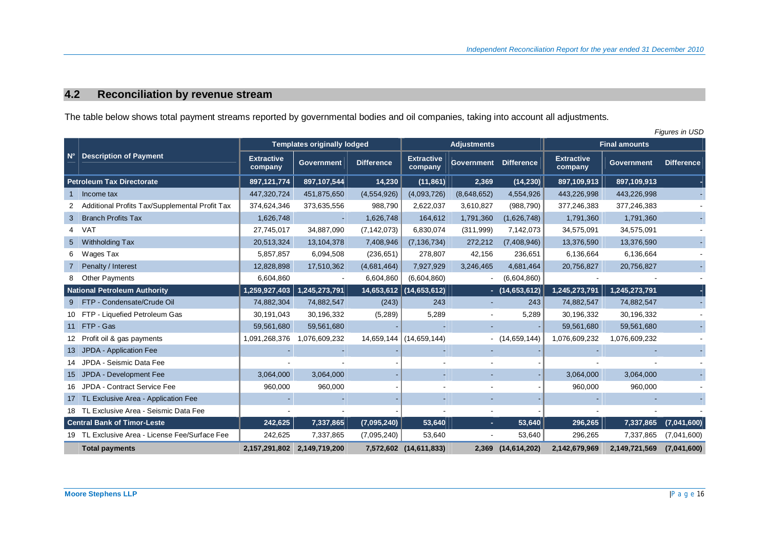# **4.2 Reconciliation by revenue stream**

The table below shows total payment streams reported by governmental bodies and oil companies, taking into account all adjustments.

|                    | <b>Figures in USD</b>                          |                              |                                    |                   |                              |                          |                    |                              |                      |                   |
|--------------------|------------------------------------------------|------------------------------|------------------------------------|-------------------|------------------------------|--------------------------|--------------------|------------------------------|----------------------|-------------------|
|                    |                                                |                              | <b>Templates originally lodged</b> |                   |                              | <b>Adjustments</b>       |                    |                              | <b>Final amounts</b> |                   |
| $\mathsf{N}^\circ$ | Description of Payment                         | <b>Extractive</b><br>company | <b>Government</b>                  | <b>Difference</b> | <b>Extractive</b><br>company | <b>Government</b>        | <b>Difference</b>  | <b>Extractive</b><br>company | <b>Government</b>    | <b>Difference</b> |
|                    | <b>Petroleum Tax Directorate</b>               | 897,121,774                  | 897,107,544                        | 14,230            | (11, 861)                    | 2,369                    | (14, 230)          | 897,109,913                  | 897,109,913          |                   |
|                    | Income tax                                     | 447,320,724                  | 451,875,650                        | (4,554,926)       | (4,093,726)                  | (8,648,652)              | 4,554,926          | 443,226,998                  | 443,226,998          |                   |
|                    | Additional Profits Tax/Supplemental Profit Tax | 374,624,346                  | 373,635,556                        | 988,790           | 2,622,037                    | 3,610,827                | (988, 790)         | 377,246,383                  | 377,246,383          |                   |
| 3                  | <b>Branch Profits Tax</b>                      | 1,626,748                    | $\blacksquare$                     | 1,626,748         | 164,612                      | 1,791,360                | (1,626,748)        | 1,791,360                    | 1,791,360            |                   |
| 4                  | VAT                                            | 27,745,017                   | 34,887,090                         | (7, 142, 073)     | 6,830,074                    | (311,999)                | 7,142,073          | 34,575,091                   | 34,575,091           |                   |
| 5                  | Withholding Tax                                | 20,513,324                   | 13, 104, 378                       | 7,408,946         | (7, 136, 734)                | 272,212                  | (7,408,946)        | 13,376,590                   | 13,376,590           |                   |
| 6                  | Wages Tax                                      | 5,857,857                    | 6,094,508                          | (236, 651)        | 278,807                      | 42,156                   | 236,651            | 6,136,664                    | 6,136,664            |                   |
|                    | Penalty / Interest                             | 12,828,898                   | 17,510,362                         | (4,681,464)       | 7,927,929                    | 3,246,465                | 4,681,464          | 20,756,827                   | 20,756,827           |                   |
|                    | <b>Other Payments</b>                          | 6,604,860                    | $\overline{\phantom{a}}$           | 6,604,860         | (6,604,860)                  |                          | (6,604,860)        | $\overline{\phantom{a}}$     |                      |                   |
|                    | <b>National Petroleum Authority</b>            | 1,259,927,403                | 1,245,273,791                      |                   | 14,653,612 (14,653,612)      |                          | $-$ (14,653,612)   | 1,245,273,791                | 1,245,273,791        |                   |
|                    | 9 FTP - Condensate/Crude Oil                   | 74,882,304                   | 74,882,547                         | (243)             | 243                          |                          | 243                | 74,882,547                   | 74,882,547           |                   |
|                    | 10 FTP - Liquefied Petroleum Gas               | 30,191,043                   | 30,196,332                         | (5,289)           | 5,289                        | $\overline{\phantom{a}}$ | 5,289              | 30,196,332                   | 30,196,332           |                   |
|                    | 11 FTP - Gas                                   | 59,561,680                   | 59,561,680                         |                   |                              |                          |                    | 59,561,680                   | 59,561,680           |                   |
|                    | 12 Profit oil & gas payments                   | 1,091,268,376                | 1,076,609,232                      |                   | 14,659,144 (14,659,144)      |                          | $-$ (14,659,144)   | 1,076,609,232                | 1,076,609,232        |                   |
|                    | 13 JPDA - Application Fee                      |                              |                                    |                   |                              |                          |                    |                              |                      |                   |
|                    | 14 JPDA - Seismic Data Fee                     |                              |                                    |                   |                              |                          |                    |                              |                      |                   |
|                    | 15 JPDA - Development Fee                      | 3,064,000                    | 3,064,000                          |                   | ٠                            |                          |                    | 3,064,000                    | 3,064,000            |                   |
|                    | 16 JPDA - Contract Service Fee                 | 960,000                      | 960,000                            |                   |                              |                          |                    | 960,000                      | 960,000              |                   |
|                    | 17 TL Exclusive Area - Application Fee         |                              |                                    |                   |                              |                          |                    |                              |                      |                   |
|                    | 18 TL Exclusive Area - Seismic Data Fee        |                              |                                    |                   |                              |                          |                    |                              |                      |                   |
|                    | <b>Central Bank of Timor-Leste</b>             | 242,625                      | 7,337,865                          | (7,095,240)       | 53,640                       | ۰.                       | 53,640             | 296,265                      | 7,337,865            | (7,041,600)       |
|                    | 19 TL Exclusive Area - License Fee/Surface Fee | 242,625                      | 7,337,865                          | (7,095,240)       | 53,640                       | $\blacksquare$           | 53,640             | 296,265                      | 7,337,865            | (7,041,600)       |
|                    | <b>Total payments</b>                          |                              | 2,157,291,802 2,149,719,200        |                   | 7,572,602 (14,611,833)       |                          | 2,369 (14,614,202) | 2,142,679,969                | 2,149,721,569        | (7,041,600)       |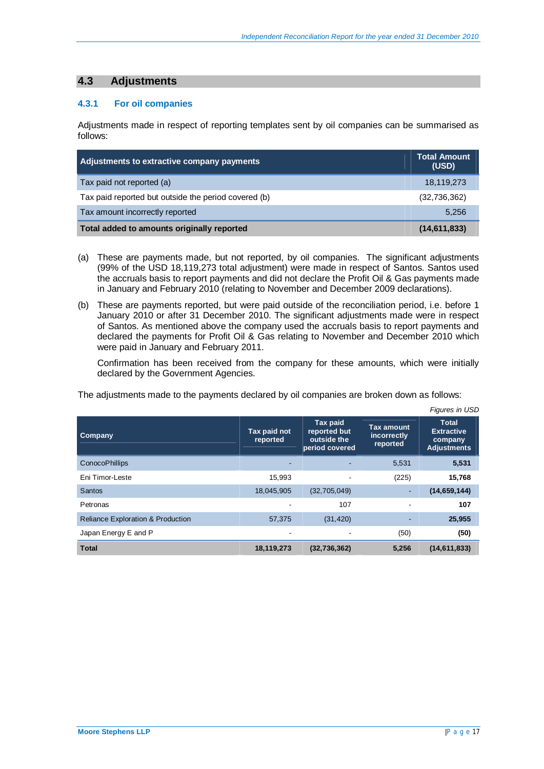## **4.3 Adjustments**

#### **4.3.1 For oil companies**

Adjustments made in respect of reporting templates sent by oil companies can be summarised as follows:

| Adjustments to extractive company payments           | <b>Total Amount</b><br>(USD) |
|------------------------------------------------------|------------------------------|
| Tax paid not reported (a)                            | 18,119,273                   |
| Tax paid reported but outside the period covered (b) | (32,736,362)                 |
| Tax amount incorrectly reported                      | 5,256                        |
| Total added to amounts originally reported           | (14,611,833)                 |

- (a) These are payments made, but not reported, by oil companies. The significant adjustments (99% of the USD 18,119,273 total adjustment) were made in respect of Santos. Santos used the accruals basis to report payments and did not declare the Profit Oil & Gas payments made in January and February 2010 (relating to November and December 2009 declarations).
- (b) These are payments reported, but were paid outside of the reconciliation period, i.e. before 1 January 2010 or after 31 December 2010. The significant adjustments made were in respect of Santos. As mentioned above the company used the accruals basis to report payments and declared the payments for Profit Oil & Gas relating to November and December 2010 which were paid in January and February 2011.

Confirmation has been received from the company for these amounts, which were initially declared by the Government Agencies.

The adjustments made to the payments declared by oil companies are broken down as follows:

|                                              |                          |                                                           |                                              | Figures in USD                                                     |
|----------------------------------------------|--------------------------|-----------------------------------------------------------|----------------------------------------------|--------------------------------------------------------------------|
| Company                                      | Tax paid not<br>reported | Tax paid<br>reported but<br>outside the<br>period covered | <b>Tax amount</b><br>incorrectly<br>reported | <b>Total</b><br><b>Extractive</b><br>company<br><b>Adjustments</b> |
| <b>ConocoPhillips</b>                        |                          |                                                           | 5,531                                        | 5,531                                                              |
| Eni Timor-Leste                              | 15,993                   |                                                           | (225)                                        | 15,768                                                             |
| <b>Santos</b>                                | 18,045,905               | (32,705,049)                                              |                                              | (14, 659, 144)                                                     |
| Petronas                                     |                          | 107                                                       |                                              | 107                                                                |
| <b>Reliance Exploration &amp; Production</b> | 57,375                   | (31, 420)                                                 |                                              | 25,955                                                             |
| Japan Energy E and P                         |                          |                                                           | (50)                                         | (50)                                                               |
| <b>Total</b>                                 | 18,119,273               | (32, 736, 362)                                            | 5,256                                        | (14, 611, 833)                                                     |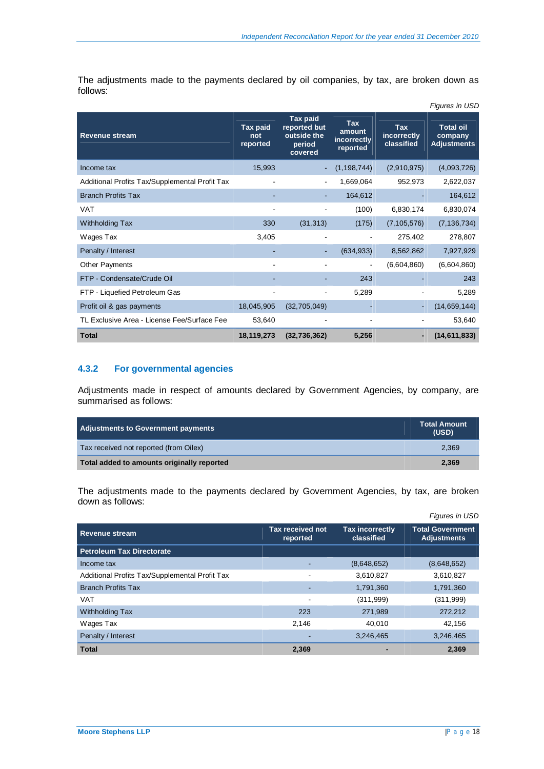The adjustments made to the payments declared by oil companies, by tax, are broken down as follows:

|                                                |                             |                                                                     |                                          |                                  | Figures in USD                                    |
|------------------------------------------------|-----------------------------|---------------------------------------------------------------------|------------------------------------------|----------------------------------|---------------------------------------------------|
| <b>Revenue stream</b>                          | Tax paid<br>not<br>reported | <b>Tax paid</b><br>reported but<br>outside the<br>period<br>covered | Tax<br>amount<br>incorrectly<br>reported | Tax<br>incorrectly<br>classified | <b>Total oil</b><br>company<br><b>Adjustments</b> |
| Income tax                                     | 15,993                      |                                                                     | (1, 198, 744)                            | (2,910,975)                      | (4,093,726)                                       |
| Additional Profits Tax/Supplemental Profit Tax |                             |                                                                     | 1,669,064                                | 952,973                          | 2,622,037                                         |
| <b>Branch Profits Tax</b>                      |                             |                                                                     | 164,612                                  |                                  | 164,612                                           |
| <b>VAT</b>                                     |                             |                                                                     | (100)                                    | 6,830,174                        | 6,830,074                                         |
| Withholding Tax                                | 330                         | (31, 313)                                                           | (175)                                    | (7, 105, 576)                    | (7, 136, 734)                                     |
| Wages Tax                                      | 3,405                       |                                                                     |                                          | 275,402                          | 278,807                                           |
| Penalty / Interest                             |                             |                                                                     | (634, 933)                               | 8,562,862                        | 7,927,929                                         |
| <b>Other Payments</b>                          | $\overline{\phantom{a}}$    |                                                                     | $\overline{\phantom{a}}$                 | (6,604,860)                      | (6,604,860)                                       |
| FTP - Condensate/Crude Oil                     |                             |                                                                     | 243                                      |                                  | 243                                               |
| FTP - Liquefied Petroleum Gas                  |                             |                                                                     | 5,289                                    |                                  | 5,289                                             |
| Profit oil & gas payments                      | 18,045,905                  | (32,705,049)                                                        |                                          |                                  | (14, 659, 144)                                    |
| TL Exclusive Area - License Fee/Surface Fee    | 53,640                      |                                                                     |                                          |                                  | 53,640                                            |
| <b>Total</b>                                   | 18,119,273                  | (32, 736, 362)                                                      | 5,256                                    |                                  | (14, 611, 833)                                    |

## **4.3.2 For governmental agencies**

Adjustments made in respect of amounts declared by Government Agencies, by company, are summarised as follows:

| Adjustments to Government payments         | <b>Total Amount</b><br>(USD) |
|--------------------------------------------|------------------------------|
| Tax received not reported (from Oilex)     | 2.369                        |
| Total added to amounts originally reported | 2.369                        |

The adjustments made to the payments declared by Government Agencies, by tax, are broken down as follows:

|                                                |                                     |                                      | Figures in USD                                |
|------------------------------------------------|-------------------------------------|--------------------------------------|-----------------------------------------------|
| <b>Revenue stream</b>                          | <b>Tax received not</b><br>reported | <b>Tax incorrectly</b><br>classified | <b>Total Government</b><br><b>Adjustments</b> |
| <b>Petroleum Tax Directorate</b>               |                                     |                                      |                                               |
| Income tax                                     |                                     | (8,648,652)                          | (8,648,652)                                   |
| Additional Profits Tax/Supplemental Profit Tax |                                     | 3,610,827                            | 3,610,827                                     |
| <b>Branch Profits Tax</b>                      |                                     | 1,791,360                            | 1,791,360                                     |
| <b>VAT</b>                                     |                                     | (311, 999)                           | (311, 999)                                    |
| Withholding Tax                                | 223                                 | 271,989                              | 272,212                                       |
| Wages Tax                                      | 2.146                               | 40.010                               | 42.156                                        |
| Penalty / Interest                             |                                     | 3,246,465                            | 3,246,465                                     |
| <b>Total</b>                                   | 2.369                               |                                      | 2,369                                         |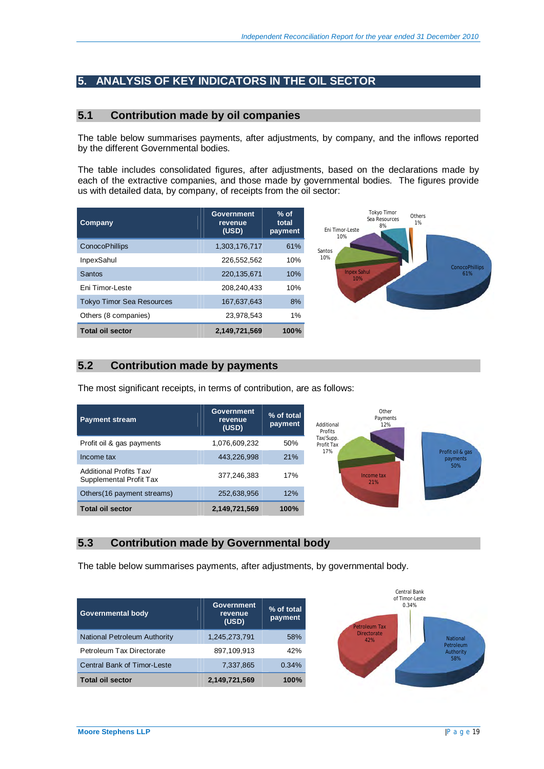## **5. ANALYSIS OF KEY INDICATORS IN THE OIL SECTOR**

#### **5.1 Contribution made by oil companies**

The table below summarises payments, after adjustments, by company, and the inflows reported by the different Governmental bodies.

The table includes consolidated figures, after adjustments, based on the declarations made by each of the extractive companies, and those made by governmental bodies. The figures provide us with detailed data, by company, of receipts from the oil sector:

| Company                          | Government<br>revenue<br>(USD) | $%$ of<br>total<br>payment |
|----------------------------------|--------------------------------|----------------------------|
| ConocoPhillips                   | 1,303,176,717                  | 61%                        |
| <b>InpexSahul</b>                | 226.552.562                    | 10%                        |
| Santos                           | 220.135.671                    | 10%                        |
| <b>Fni Timor-Leste</b>           | 208.240.433                    | 10%                        |
| <b>Tokyo Timor Sea Resources</b> | 167.637.643                    | 8%                         |
| Others (8 companies)             | 23.978.543                     | $1\%$                      |
| <b>Total oil sector</b>          | 2,149,721,569                  | 100%                       |



## **5.2 Contribution made by payments**

The most significant receipts, in terms of contribution, are as follows:

| <b>Payment stream</b>                              | <b>Government</b><br>revenue<br>(USD) | $%$ of total<br>payment | Other<br>Payments<br>Additional<br>12%<br>Profits |
|----------------------------------------------------|---------------------------------------|-------------------------|---------------------------------------------------|
| Profit oil & gas payments                          | 1,076,609,232                         | 50%                     | Tax/Supp.<br>Profit Tax                           |
| Income tax                                         | 443,226,998                           | 21%                     | 17%<br>Profit oil & gas<br>payments               |
| Additional Profits Tax/<br>Supplemental Profit Tax | 377,246,383                           | 17%                     | Income tax<br>21%                                 |
| Others (16 payment streams)                        | 252,638,956                           | 12%                     |                                                   |
| <b>Total oil sector</b>                            | 2,149,721,569                         | 100%                    |                                                   |

#### **5.3 Contribution made by Governmental body**

The table below summarises payments, after adjustments, by governmental body.

| Governmental body            | Government<br>revenue<br>(USD) | % of total<br>payment |
|------------------------------|--------------------------------|-----------------------|
| National Petroleum Authority | 1,245,273,791                  | 58%                   |
| Petroleum Tax Directorate    | 897.109.913                    | 42%                   |
| Central Bank of Timor-Leste  | 7,337,865                      | 0.34%                 |
| <b>Total oil sector</b>      | 2,149,721,569                  | 100%                  |

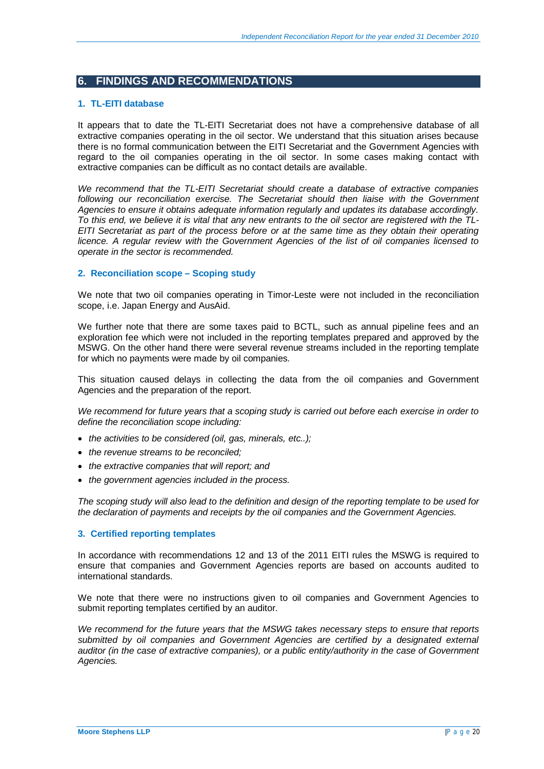## **6. FINDINGS AND RECOMMENDATIONS**

#### **1. TL-EITI database**

It appears that to date the TL-EITI Secretariat does not have a comprehensive database of all extractive companies operating in the oil sector. We understand that this situation arises because there is no formal communication between the EITI Secretariat and the Government Agencies with regard to the oil companies operating in the oil sector. In some cases making contact with extractive companies can be difficult as no contact details are available.

*We recommend that the TL-EITI Secretariat should create a database of extractive companies*  following our reconciliation exercise. The Secretariat should then liaise with the Government *Agencies to ensure it obtains adequate information regularly and updates its database accordingly. To this end, we believe it is vital that any new entrants to the oil sector are registered with the TL-EITI Secretariat as part of the process before or at the same time as they obtain their operating licence. A regular review with the Government Agencies of the list of oil companies licensed to operate in the sector is recommended.* 

#### **2. Reconciliation scope – Scoping study**

We note that two oil companies operating in Timor-Leste were not included in the reconciliation scope, i.e. Japan Energy and AusAid.

We further note that there are some taxes paid to BCTL, such as annual pipeline fees and an exploration fee which were not included in the reporting templates prepared and approved by the MSWG. On the other hand there were several revenue streams included in the reporting template for which no payments were made by oil companies.

This situation caused delays in collecting the data from the oil companies and Government Agencies and the preparation of the report.

*We recommend for future years that a scoping study is carried out before each exercise in order to define the reconciliation scope including:* 

- *the activities to be considered (oil, gas, minerals, etc..):*
- x *the revenue streams to be reconciled;*
- the extractive companies that will report; and
- the government agencies included in the process.

*The scoping study will also lead to the definition and design of the reporting template to be used for the declaration of payments and receipts by the oil companies and the Government Agencies.* 

#### **3. Certified reporting templates**

In accordance with recommendations 12 and 13 of the 2011 EITI rules the MSWG is required to ensure that companies and Government Agencies reports are based on accounts audited to international standards.

We note that there were no instructions given to oil companies and Government Agencies to submit reporting templates certified by an auditor.

*We recommend for the future years that the MSWG takes necessary steps to ensure that reports*  submitted by oil companies and Government Agencies are certified by a designated external *auditor (in the case of extractive companies), or a public entity/authority in the case of Government Agencies.*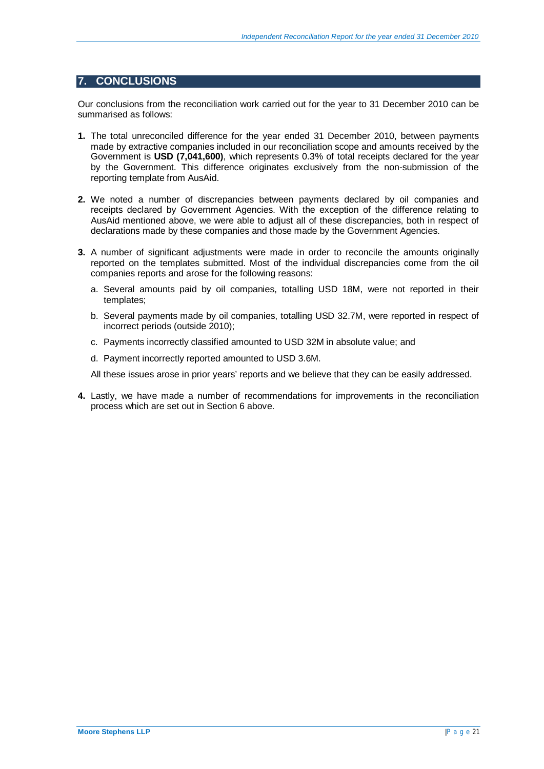## **7. CONCLUSIONS**

Our conclusions from the reconciliation work carried out for the year to 31 December 2010 can be summarised as follows:

- **1.** The total unreconciled difference for the year ended 31 December 2010, between payments made by extractive companies included in our reconciliation scope and amounts received by the Government is **USD (7,041,600)**, which represents 0.3% of total receipts declared for the year by the Government. This difference originates exclusively from the non-submission of the reporting template from AusAid.
- **2.** We noted a number of discrepancies between payments declared by oil companies and receipts declared by Government Agencies. With the exception of the difference relating to AusAid mentioned above, we were able to adjust all of these discrepancies, both in respect of declarations made by these companies and those made by the Government Agencies.
- **3.** A number of significant adjustments were made in order to reconcile the amounts originally reported on the templates submitted. Most of the individual discrepancies come from the oil companies reports and arose for the following reasons:
	- a. Several amounts paid by oil companies, totalling USD 18M, were not reported in their templates;
	- b. Several payments made by oil companies, totalling USD 32.7M, were reported in respect of incorrect periods (outside 2010);
	- c. Payments incorrectly classified amounted to USD 32M in absolute value; and
	- d. Payment incorrectly reported amounted to USD 3.6M.

All these issues arose in prior years' reports and we believe that they can be easily addressed.

**4.** Lastly, we have made a number of recommendations for improvements in the reconciliation process which are set out in Section 6 above.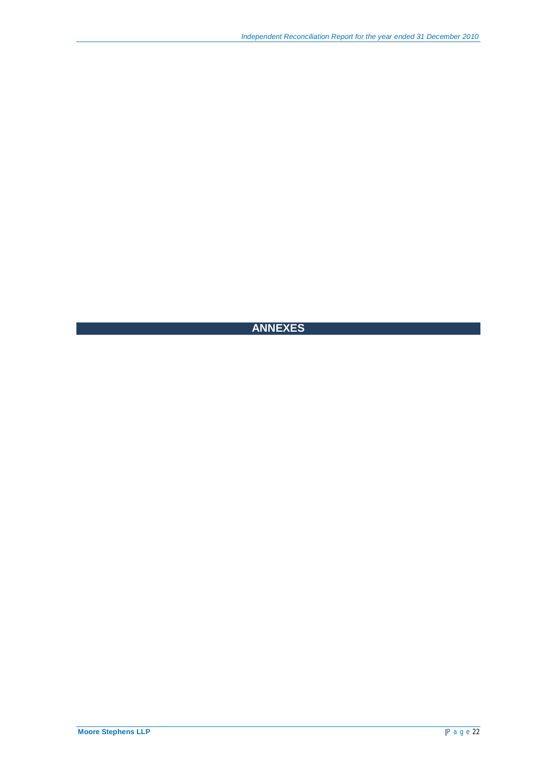# **ANNEXES**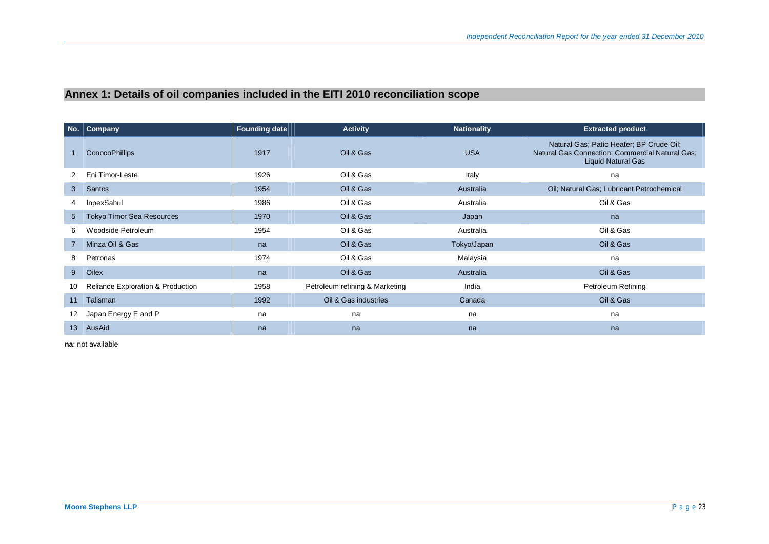# **Annex 1: Details of oil companies included in the EITI 2010 reconciliation scope**

|                 | No.   Company                                | <b>Founding date</b> | <b>Activity</b>                | <b>Nationality</b> | <b>Extracted product</b>                                                                                                 |
|-----------------|----------------------------------------------|----------------------|--------------------------------|--------------------|--------------------------------------------------------------------------------------------------------------------------|
|                 | <b>ConocoPhillips</b>                        | 1917                 | Oil & Gas                      | <b>USA</b>         | Natural Gas; Patio Heater; BP Crude Oil;<br>Natural Gas Connection; Commercial Natural Gas;<br><b>Liquid Natural Gas</b> |
| 2.              | Eni Timor-Leste                              | 1926                 | Oil & Gas                      | Italy              | na                                                                                                                       |
| 3               | Santos                                       | 1954                 | Oil & Gas                      | Australia          | Oil; Natural Gas; Lubricant Petrochemical                                                                                |
| 4               | InpexSahul                                   | 1986                 | Oil & Gas                      | Australia          | Oil & Gas                                                                                                                |
| $5^{\circ}$     | Tokyo Timor Sea Resources                    | 1970                 | Oil & Gas                      | Japan              | na                                                                                                                       |
| 6               | Woodside Petroleum                           | 1954                 | Oil & Gas                      | Australia          | Oil & Gas                                                                                                                |
| $7^{\circ}$     | Minza Oil & Gas                              | na                   | Oil & Gas                      | Tokyo/Japan        | Oil & Gas                                                                                                                |
| 8               | Petronas                                     | 1974                 | Oil & Gas                      | Malaysia           | na                                                                                                                       |
| $9^{\circ}$     | Oilex                                        | na                   | Oil & Gas                      | Australia          | Oil & Gas                                                                                                                |
| 10              | <b>Reliance Exploration &amp; Production</b> | 1958                 | Petroleum refining & Marketing | India              | Petroleum Refining                                                                                                       |
| 11              | Talisman                                     | 1992                 | Oil & Gas industries           | Canada             | Oil & Gas                                                                                                                |
| 12              | Japan Energy E and P                         | na                   | na                             | na                 | na                                                                                                                       |
| 13 <sup>°</sup> | AusAid                                       | na                   | na                             | na                 | na                                                                                                                       |

**na**: not available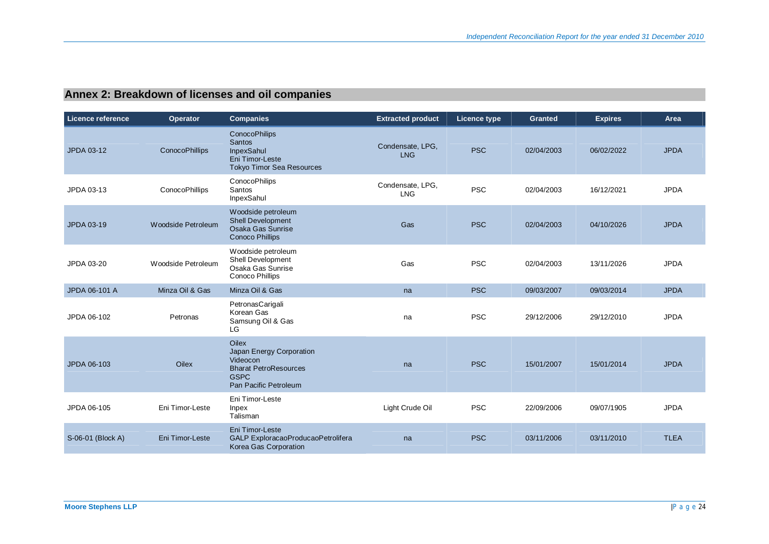# **Annex 2: Breakdown of licenses and oil companies**

| Licence reference | <b>Operator</b>    | <b>Companies</b>                                                                                                             | <b>Extracted product</b>       | Licence type | <b>Granted</b> | <b>Expires</b> | Area        |
|-------------------|--------------------|------------------------------------------------------------------------------------------------------------------------------|--------------------------------|--------------|----------------|----------------|-------------|
| JPDA 03-12        | ConocoPhillips     | <b>ConocoPhilips</b><br><b>Santos</b><br>InpexSahul<br>Eni Timor-Leste<br><b>Tokyo Timor Sea Resources</b>                   | Condensate, LPG,<br><b>LNG</b> | <b>PSC</b>   | 02/04/2003     | 06/02/2022     | <b>JPDA</b> |
| JPDA 03-13        | ConocoPhillips     | <b>ConocoPhilips</b><br>Santos<br>InpexSahul                                                                                 | Condensate, LPG,<br><b>LNG</b> | <b>PSC</b>   | 02/04/2003     | 16/12/2021     | <b>JPDA</b> |
| JPDA 03-19        | Woodside Petroleum | Woodside petroleum<br>Shell Development<br>Osaka Gas Sunrise<br><b>Conoco Phillips</b>                                       | Gas                            | <b>PSC</b>   | 02/04/2003     | 04/10/2026     | <b>JPDA</b> |
| JPDA 03-20        | Woodside Petroleum | Woodside petroleum<br>Shell Development<br>Osaka Gas Sunrise<br>Conoco Phillips                                              | Gas                            | <b>PSC</b>   | 02/04/2003     | 13/11/2026     | <b>JPDA</b> |
| JPDA 06-101 A     | Minza Oil & Gas    | Minza Oil & Gas                                                                                                              | na                             | <b>PSC</b>   | 09/03/2007     | 09/03/2014     | <b>JPDA</b> |
| JPDA 06-102       | Petronas           | PetronasCarigali<br>Korean Gas<br>Samsung Oil & Gas<br>LG                                                                    | na                             | <b>PSC</b>   | 29/12/2006     | 29/12/2010     | <b>JPDA</b> |
| JPDA 06-103       | <b>Oilex</b>       | <b>Oilex</b><br>Japan Energy Corporation<br>Videocon<br><b>Bharat PetroResources</b><br><b>GSPC</b><br>Pan Pacific Petroleum | na                             | <b>PSC</b>   | 15/01/2007     | 15/01/2014     | <b>JPDA</b> |
| JPDA 06-105       | Eni Timor-Leste    | Eni Timor-Leste<br>Inpex<br>Talisman                                                                                         | Light Crude Oil                | <b>PSC</b>   | 22/09/2006     | 09/07/1905     | <b>JPDA</b> |
| S-06-01 (Block A) | Eni Timor-Leste    | Eni Timor-Leste<br>GALP ExploracaoProducaoPetrolifera<br>Korea Gas Corporation                                               | na                             | <b>PSC</b>   | 03/11/2006     | 03/11/2010     | <b>TLEA</b> |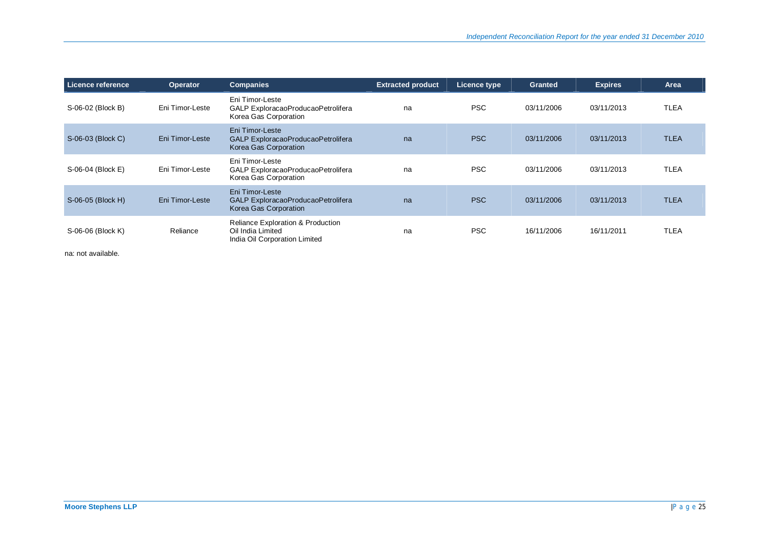| Licence reference | <b>Operator</b> | <b>Companies</b>                                                                                   | <b>Extracted product</b> | Licence type | Granted    | <b>Expires</b> | Area        |
|-------------------|-----------------|----------------------------------------------------------------------------------------------------|--------------------------|--------------|------------|----------------|-------------|
| S-06-02 (Block B) | Eni Timor-Leste | Eni Timor-Leste<br>GALP ExploracaoProducaoPetrolifera<br>Korea Gas Corporation                     | na                       | <b>PSC</b>   | 03/11/2006 | 03/11/2013     | <b>TLEA</b> |
| S-06-03 (Block C) | Eni Timor-Leste | Eni Timor-Leste<br>GALP ExploracaoProducaoPetrolifera<br>Korea Gas Corporation                     | na                       | <b>PSC</b>   | 03/11/2006 | 03/11/2013     | <b>TLEA</b> |
| S-06-04 (Block E) | Eni Timor-Leste | Eni Timor-Leste<br>GALP ExploracaoProducaoPetrolifera<br>Korea Gas Corporation                     | na                       | <b>PSC</b>   | 03/11/2006 | 03/11/2013     | <b>TLEA</b> |
| S-06-05 (Block H) | Eni Timor-Leste | Eni Timor-Leste<br>GALP ExploracaoProducaoPetrolifera<br>Korea Gas Corporation                     | na                       | <b>PSC</b>   | 03/11/2006 | 03/11/2013     | <b>TLEA</b> |
| S-06-06 (Block K) | Reliance        | <b>Reliance Exploration &amp; Production</b><br>Oil India Limited<br>India Oil Corporation Limited | na                       | <b>PSC</b>   | 16/11/2006 | 16/11/2011     | <b>TLEA</b> |

na: not available.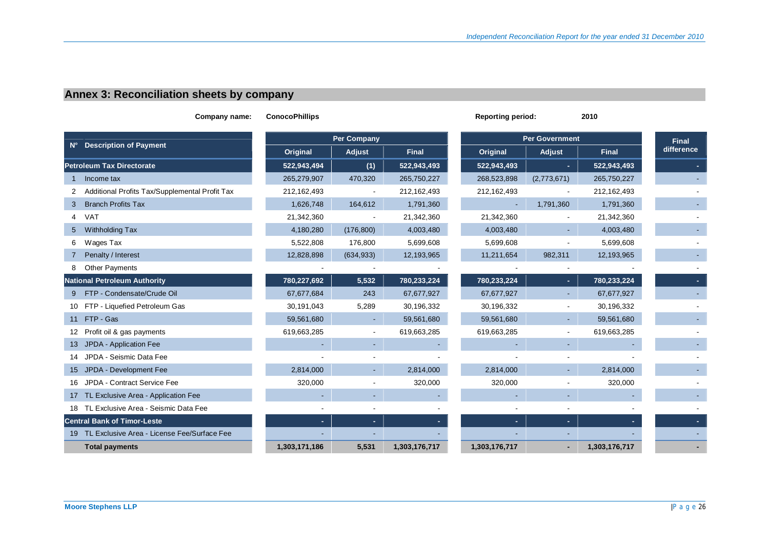# **Annex 3: Reconciliation sheets by company**

| Company name:                                  | <b>ConocoPhillips</b> |                |               | <b>Reporting period:</b> |                | 2010          |            |
|------------------------------------------------|-----------------------|----------------|---------------|--------------------------|----------------|---------------|------------|
|                                                | <b>Per Company</b>    |                |               | <b>Per Government</b>    | <b>Final</b>   |               |            |
| N° Description of Payment                      | Original              | Adjust         | <b>Final</b>  | Original                 | Adjust         | <b>Final</b>  | difference |
| <b>Petroleum Tax Directorate</b>               | 522,943,494           | (1)            | 522,943,493   | 522,943,493              | $\sim$         | 522,943,493   |            |
| Income tax                                     | 265,279,907           | 470,320        | 265,750,227   | 268,523,898              | (2,773,671)    | 265,750,227   |            |
| Additional Profits Tax/Supplemental Profit Tax | 212,162,493           |                | 212,162,493   | 212,162,493              |                | 212,162,493   |            |
| <b>Branch Profits Tax</b><br>3                 | 1,626,748             | 164,612        | 1,791,360     |                          | 1,791,360      | 1,791,360     |            |
| 4 VAT                                          | 21,342,360            |                | 21,342,360    | 21,342,360               |                | 21,342,360    |            |
| Withholding Tax<br>5 <sup>5</sup>              | 4,180,280             | (176, 800)     | 4,003,480     | 4,003,480                |                | 4,003,480     |            |
| Wages Tax<br>6                                 | 5,522,808             | 176,800        | 5,699,608     | 5,699,608                |                | 5,699,608     |            |
| Penalty / Interest                             | 12,828,898            | (634, 933)     | 12,193,965    | 11,211,654               | 982,311        | 12,193,965    |            |
| <b>Other Payments</b>                          |                       |                |               |                          |                |               |            |
| <b>National Petroleum Authority</b>            | 780,227,692           | 5,532          | 780,233,224   | 780,233,224              |                | 780,233,224   |            |
| FTP - Condensate/Crude Oil<br>9                | 67,677,684            | 243            | 67,677,927    | 67,677,927               |                | 67,677,927    |            |
| 10 FTP - Liquefied Petroleum Gas               | 30,191,043            | 5,289          | 30,196,332    | 30,196,332               | $\blacksquare$ | 30,196,332    |            |
| 11 FTP - Gas                                   | 59,561,680            | $\sim$         | 59,561,680    | 59,561,680               |                | 59,561,680    |            |
| 12 Profit oil & gas payments                   | 619,663,285           | $\blacksquare$ | 619,663,285   | 619,663,285              |                | 619,663,285   |            |
| 13 JPDA - Application Fee                      |                       |                |               |                          |                |               |            |
| 14 JPDA - Seismic Data Fee                     |                       |                |               |                          |                |               |            |
| 15 JPDA - Development Fee                      | 2,814,000             |                | 2,814,000     | 2,814,000                |                | 2,814,000     |            |
| 16 JPDA - Contract Service Fee                 | 320,000               | $\blacksquare$ | 320,000       | 320,000                  |                | 320,000       |            |
| 17 TL Exclusive Area - Application Fee         |                       |                |               |                          |                |               |            |
| 18 TL Exclusive Area - Seismic Data Fee        |                       | $\blacksquare$ |               |                          |                |               |            |
| <b>Central Bank of Timor-Leste</b>             | ٠                     | ٠.             |               | ÷.                       | ×.             |               |            |
| 19 TL Exclusive Area - License Fee/Surface Fee |                       |                |               |                          |                |               |            |
| <b>Total payments</b>                          | 1,303,171,186         | 5,531          | 1,303,176,717 | 1,303,176,717            |                | 1,303,176,717 |            |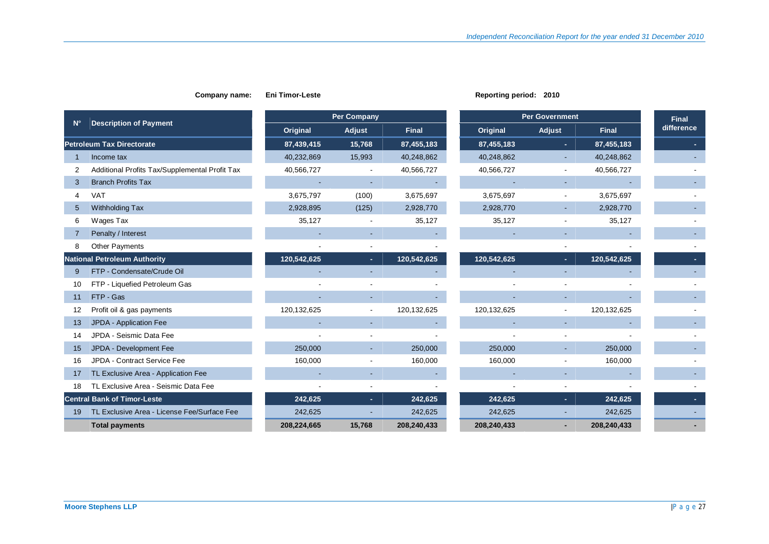|              |                                                | <b>Per Company</b> |        |              | <b>Per Government</b> |             |                          |              | <b>Final</b> |
|--------------|------------------------------------------------|--------------------|--------|--------------|-----------------------|-------------|--------------------------|--------------|--------------|
| $N^{\circ}$  | <b>Description of Payment</b>                  | Original           | Adjust | <b>Final</b> |                       | Original    | Adjust                   | <b>Final</b> | difference   |
|              | <b>Petroleum Tax Directorate</b>               | 87,439,415         | 15,768 | 87,455,183   |                       | 87,455,183  | $\blacksquare$           | 87,455,183   |              |
|              | Income tax                                     | 40,232,869         | 15,993 | 40,248,862   |                       | 40,248,862  |                          | 40,248,862   |              |
| 2            | Additional Profits Tax/Supplemental Profit Tax | 40,566,727         |        | 40,566,727   |                       | 40,566,727  |                          | 40,566,727   |              |
| 3            | <b>Branch Profits Tax</b>                      |                    |        |              |                       |             |                          |              |              |
| 4            | <b>VAT</b>                                     | 3,675,797          | (100)  | 3,675,697    |                       | 3,675,697   | $\overline{\phantom{a}}$ | 3,675,697    |              |
| 5            | Withholding Tax                                | 2,928,895          | (125)  | 2,928,770    |                       | 2,928,770   |                          | 2,928,770    |              |
| 6            | Wages Tax                                      | 35,127             |        | 35,127       |                       | 35,127      |                          | 35,127       |              |
|              | Penalty / Interest                             |                    |        |              |                       |             |                          |              |              |
| 8            | <b>Other Payments</b>                          |                    |        |              |                       |             |                          |              |              |
|              | <b>National Petroleum Authority</b>            | 120,542,625        | н.     | 120,542,625  |                       | 120,542,625 | $\sim$                   | 120,542,625  |              |
| $\mathbf{Q}$ | FTP - Condensate/Crude Oil                     |                    |        |              |                       |             |                          |              |              |
| 10           | FTP - Liquefied Petroleum Gas                  |                    |        |              |                       |             |                          |              |              |
| 11           | FTP - Gas                                      |                    |        |              |                       |             |                          |              |              |
| 12           | Profit oil & gas payments                      | 120,132,625        |        | 120,132,625  |                       | 120,132,625 |                          | 120,132,625  |              |
| 13           | JPDA - Application Fee                         |                    |        |              |                       |             |                          |              |              |
| 14           | JPDA - Seismic Data Fee                        |                    |        |              |                       |             |                          |              |              |
| 15           | JPDA - Development Fee                         | 250,000            |        | 250,000      |                       | 250,000     |                          | 250,000      |              |
| 16           | JPDA - Contract Service Fee                    | 160,000            |        | 160,000      |                       | 160,000     |                          | 160,000      |              |
| 17           | TL Exclusive Area - Application Fee            |                    |        |              |                       |             |                          |              |              |
| 18           | TL Exclusive Area - Seismic Data Fee           |                    |        |              |                       |             |                          |              |              |
|              | <b>Central Bank of Timor-Leste</b>             | 242,625            | н.     | 242,625      |                       | 242,625     |                          | 242,625      |              |
| 19           | TL Exclusive Area - License Fee/Surface Fee    | 242,625            |        | 242,625      |                       | 242,625     |                          | 242,625      |              |
|              | <b>Total payments</b>                          | 208,224,665        | 15,768 | 208,240,433  |                       | 208,240,433 |                          | 208,240,433  |              |

**Company name:** Eni Timor-Leste **Reporting period:** 2010

### **Moore Stephens LLP**  $\vert$ P a g e 27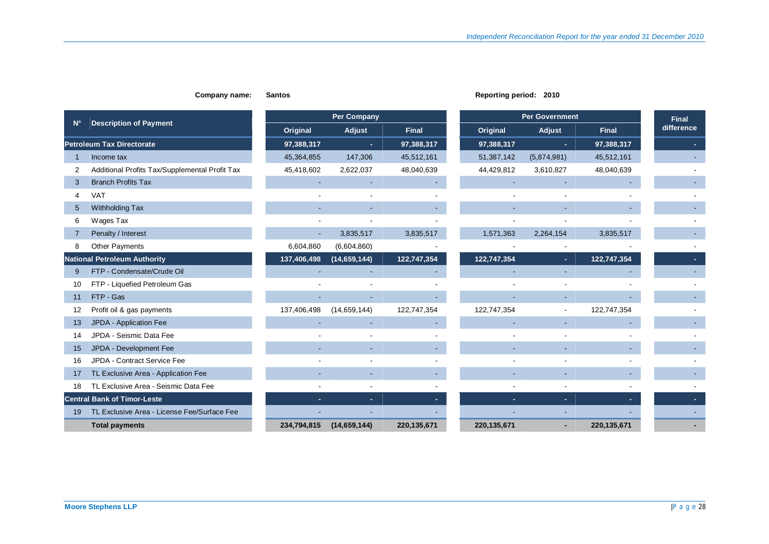|             |                                                |             | <b>Per Company</b> |              |             | <b>Per Government</b> | <b>Final</b> |            |
|-------------|------------------------------------------------|-------------|--------------------|--------------|-------------|-----------------------|--------------|------------|
| $N^{\circ}$ | <b>Description of Payment</b>                  | Original    | Adjust             | <b>Final</b> | Original    | Adjust                | <b>Final</b> | difference |
|             | <b>Petroleum Tax Directorate</b>               | 97,388,317  |                    | 97,388,317   | 97,388,317  | $\blacksquare$        | 97,388,317   |            |
|             | Income tax                                     | 45,364,855  | 147,306            | 45,512,161   | 51,387,142  | (5,874,981)           | 45,512,161   |            |
| 2           | Additional Profits Tax/Supplemental Profit Tax | 45,418,602  | 2,622,037          | 48,040,639   | 44,429,812  | 3,610,827             | 48,040,639   |            |
| 3           | <b>Branch Profits Tax</b>                      |             |                    |              |             |                       |              |            |
| 4           | <b>VAT</b>                                     |             |                    |              |             |                       |              |            |
| 5           | Withholding Tax                                |             |                    |              |             |                       |              |            |
| 6           | Wages Tax                                      |             |                    |              |             |                       |              |            |
|             | Penalty / Interest                             |             | 3,835,517          | 3,835,517    | 1,571,363   | 2,264,154             | 3,835,517    |            |
| 8           | Other Payments                                 | 6,604,860   | (6,604,860)        |              |             |                       |              |            |
|             | <b>National Petroleum Authority</b>            | 137,406,498 | (14, 659, 144)     | 122,747,354  | 122,747,354 | ٠                     | 122,747,354  |            |
| 9           | FTP - Condensate/Crude Oil                     |             |                    |              |             |                       |              |            |
| 10          | FTP - Liquefied Petroleum Gas                  |             |                    |              |             |                       |              |            |
| 11          | FTP - Gas                                      |             |                    |              |             |                       |              |            |
| 12          | Profit oil & gas payments                      | 137,406,498 | (14, 659, 144)     | 122,747,354  | 122,747,354 |                       | 122,747,354  |            |
| 13          | JPDA - Application Fee                         |             |                    |              |             |                       |              |            |
| 14          | JPDA - Seismic Data Fee                        |             |                    |              |             |                       |              |            |
| 15          | JPDA - Development Fee                         |             |                    |              |             |                       |              |            |
| 16          | JPDA - Contract Service Fee                    |             |                    |              |             |                       |              |            |
| 17          | TL Exclusive Area - Application Fee            |             |                    |              |             |                       |              |            |
| 18          | TL Exclusive Area - Seismic Data Fee           |             |                    |              |             |                       |              |            |
|             | <b>Central Bank of Timor-Leste</b>             |             |                    |              |             |                       |              |            |
| 19          | TL Exclusive Area - License Fee/Surface Fee    |             |                    |              |             |                       |              |            |
|             | <b>Total payments</b>                          | 234,794,815 | (14, 659, 144)     | 220,135,671  | 220,135,671 |                       | 220,135,671  |            |

**Company name:** Santos **Reporting period:** 2010

### **Moore Stephens LLP**  $\vert P \text{ a } g \text{ e } 28$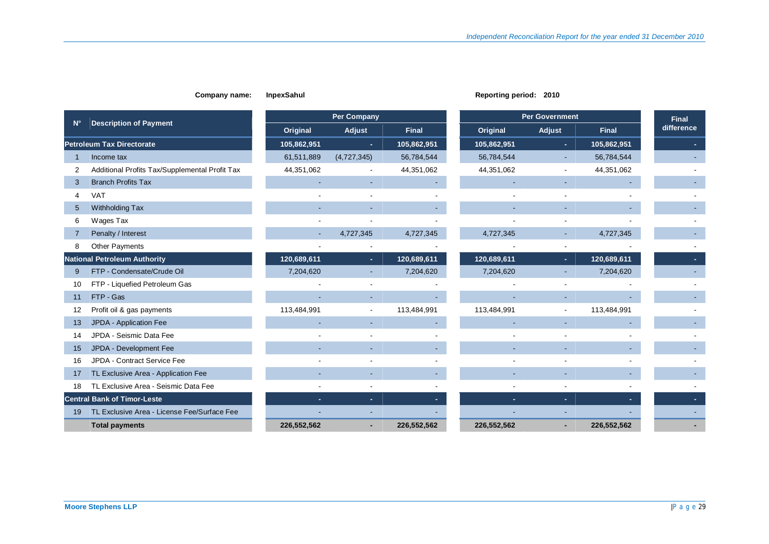|                                                                  |             | <b>Per Company</b>       |              |                          | <b>Per Government</b> |              | <b>Final</b> |
|------------------------------------------------------------------|-------------|--------------------------|--------------|--------------------------|-----------------------|--------------|--------------|
| <b>Description of Payment</b><br>$N^{\circ}$                     | Original    | Adjust                   | <b>Final</b> | Original                 | Adjust                | <b>Final</b> | difference   |
| <b>Petroleum Tax Directorate</b>                                 | 105,862,951 | ٠                        | 105,862,951  | 105,862,951              | ×                     | 105,862,951  |              |
| Income tax                                                       | 61,511,889  | (4,727,345)              | 56,784,544   | 56,784,544               |                       | 56,784,544   |              |
| Additional Profits Tax/Supplemental Profit Tax<br>$\overline{2}$ | 44,351,062  |                          | 44,351,062   | 44,351,062               |                       | 44,351,062   |              |
| <b>Branch Profits Tax</b><br>3                                   |             |                          |              |                          |                       |              |              |
| <b>VAT</b><br>$\overline{4}$                                     |             |                          |              |                          |                       |              |              |
| Withholding Tax<br>5                                             |             |                          |              |                          |                       |              |              |
| Wages Tax<br>6                                                   |             |                          |              |                          |                       |              |              |
| Penalty / Interest                                               |             | 4,727,345                | 4,727,345    | 4,727,345                |                       | 4,727,345    |              |
| <b>Other Payments</b><br>8                                       |             |                          |              |                          |                       |              |              |
| <b>National Petroleum Authority</b>                              | 120,689,611 | ÷.                       | 120,689,611  | 120,689,611              | ×                     | 120,689,611  |              |
| FTP - Condensate/Crude Oil<br>9                                  | 7,204,620   |                          | 7,204,620    | 7,204,620                |                       | 7,204,620    |              |
| FTP - Liquefied Petroleum Gas<br>10                              |             |                          |              |                          |                       |              |              |
| FTP - Gas<br>11                                                  |             |                          |              |                          |                       |              |              |
| Profit oil & gas payments<br>12                                  | 113,484,991 |                          | 113,484,991  | 113,484,991              |                       | 113,484,991  |              |
| JPDA - Application Fee<br>13                                     |             |                          |              | $\overline{\phantom{a}}$ |                       |              |              |
| JPDA - Seismic Data Fee<br>14                                    |             |                          |              |                          |                       |              |              |
| JPDA - Development Fee<br>15                                     |             |                          |              |                          |                       |              |              |
| JPDA - Contract Service Fee<br>16                                |             |                          |              |                          |                       |              |              |
| TL Exclusive Area - Application Fee<br>17                        |             |                          |              |                          |                       |              |              |
| TL Exclusive Area - Seismic Data Fee<br>18                       |             |                          |              |                          |                       |              |              |
| <b>Central Bank of Timor-Leste</b>                               |             | $\overline{\phantom{a}}$ |              |                          |                       |              |              |
| TL Exclusive Area - License Fee/Surface Fee<br>19                |             |                          |              |                          |                       |              |              |
| <b>Total payments</b>                                            | 226,552,562 |                          | 226,552,562  | 226,552,562              |                       | 226,552,562  |              |

#### **Company name:** InpexSahul **Reporting period:** 2010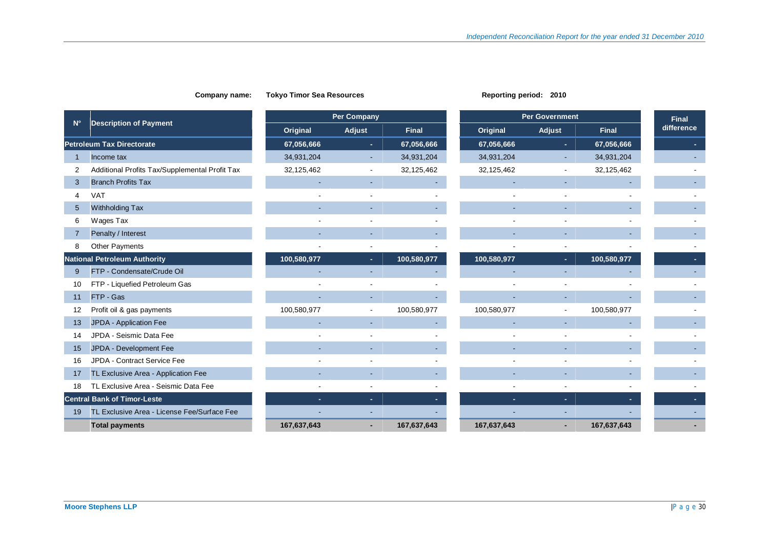## **N° Description of Payment Per Company Per Government Final Per Convention Company Per Government Final Per Sovernment** Per Sovernment Per Sovernment Per Sovernment Per Sovernment Per Sovernment Per Sovernment Per Sovernment Per Sovernment Per Sove **Original Adjust difference Final Original Adjust Final Petroleum Tax Directorate 67,056,666 - 67,056,666 67,056,666 - 67,056,666 -**  1 Income tax 34,931,204 - 34,931,204 34,931,204 - -2 Additional Profits Tax/Supplemental Profit Tax 32,125,462 - 32,125,462 32,125,462 - 32,125,462 - 3 Branch Profits Tax - - - - - - - 4 VAT - - - - - - - 5 Withholding Tax - - - - - - - 6 Wages Tax - - - - - - - 7 Penalty / Interest - - - - - - - 8 Other Payments - - - - - - - **National Petroleum Authority 100,580,977 - 100,580,977 100,580,977 - 100,580,977 -**  9 FTP - Condensate/Crude Oil - - - - - - - 10 FTP - Liquefied Petroleum Gas - - - - - - - 11 FTP - Gas - - - - - - - 12 Profit oil & gas payments **100,580,977** 100,580,977 100,580,977 100,580,977 100,580,977 100,580,977 100,580,977 13 JPDA - Application Fee - - - - - - - 14 JPDA - Seismic Data Fee - - - - - - - 15 JPDA - Development Fee - - - - - - - 16 JPDA - Contract Service Fee - - - - - - - 17 TL Exclusive Area - Application Fee - - - - - - - 18 TL Exclusive Area - Seismic Data Fee - - - - - - - **Central Bank of Timor-Leste - - - - - - -**  19 TL Exclusive Area - License Fee/Surface Fee - - - - - - -  **Total payments 167,637,643 - 167,637,643 167,637,643 - 167,637,643 -**

**Company name:** Tokyo Timor Sea Resources **Reporting Period: 2010 Reporting period: 2010** 

## **Moore Stephens LLP**  $\vert \text{P} \text{ a } \text{q} \text{ e } 30$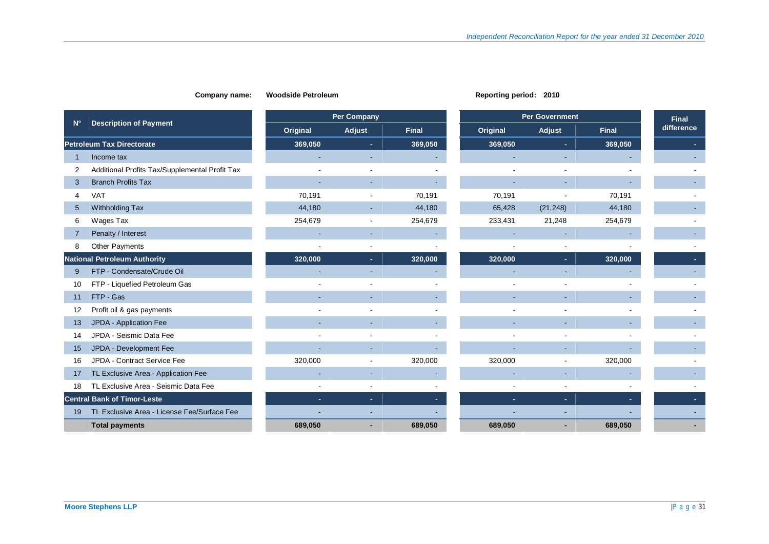|                                                     |          | <b>Per Company</b> |              |          | <b>Per Government</b> |              |                            |  |
|-----------------------------------------------------|----------|--------------------|--------------|----------|-----------------------|--------------|----------------------------|--|
| <b>Description of Payment</b><br>$N^{\circ}$        | Original | Adjust             | <b>Final</b> | Original | Adjust                | <b>Final</b> | <b>Final</b><br>difference |  |
| <b>Petroleum Tax Directorate</b>                    | 369,050  | $\blacksquare$     | 369,050      | 369,050  | ×.                    | 369,050      |                            |  |
| Income tax                                          |          |                    |              |          |                       |              |                            |  |
| Additional Profits Tax/Supplemental Profit Tax<br>2 |          |                    |              |          |                       |              |                            |  |
| <b>Branch Profits Tax</b><br>3                      |          |                    |              |          |                       |              |                            |  |
| <b>VAT</b><br>4                                     | 70,191   |                    | 70,191       | 70,191   |                       | 70,191       |                            |  |
| Withholding Tax<br>$5\overline{)}$                  | 44,180   |                    | 44,180       | 65,428   | (21, 248)             | 44,180       |                            |  |
| Wages Tax<br>6                                      | 254,679  |                    | 254,679      | 233,431  | 21,248                | 254,679      |                            |  |
| Penalty / Interest<br>7                             |          |                    |              |          |                       |              |                            |  |
| <b>Other Payments</b><br>8                          |          |                    |              |          |                       |              |                            |  |
| <b>National Petroleum Authority</b>                 | 320,000  | ×.                 | 320,000      | 320,000  | ×.                    | 320,000      |                            |  |
| FTP - Condensate/Crude Oil<br>9                     |          |                    |              |          |                       |              |                            |  |
| FTP - Liquefied Petroleum Gas<br>10                 |          |                    |              |          |                       |              |                            |  |
| FTP - Gas<br>11                                     |          |                    |              |          |                       |              |                            |  |
| Profit oil & gas payments<br>12                     |          |                    |              |          |                       |              |                            |  |
| JPDA - Application Fee<br>13                        |          |                    |              |          |                       |              |                            |  |
| JPDA - Seismic Data Fee<br>14                       |          |                    |              |          |                       |              |                            |  |
| JPDA - Development Fee<br>15                        |          |                    |              |          |                       |              |                            |  |
| JPDA - Contract Service Fee<br>16                   | 320,000  |                    | 320,000      | 320,000  |                       | 320,000      |                            |  |
| TL Exclusive Area - Application Fee<br>17           |          |                    |              |          |                       |              |                            |  |
| TL Exclusive Area - Seismic Data Fee<br>18          |          |                    |              |          |                       |              |                            |  |
| <b>Central Bank of Timor-Leste</b>                  | ÷.       | ٠                  |              |          | ×.                    |              |                            |  |
| TL Exclusive Area - License Fee/Surface Fee<br>19   |          |                    |              |          |                       |              |                            |  |
| <b>Total payments</b>                               | 689.050  |                    | 689.050      | 689.050  |                       | 689.050      |                            |  |

#### **Company name:** Woodside Petroleum **Reporting Period: Reporting period:** 2010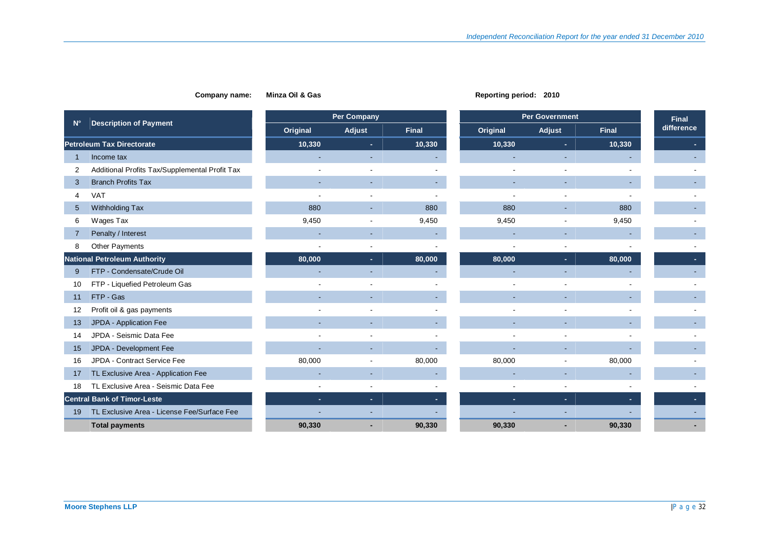#### **Company name:** Minza Oil & Gas **Reporting period:** 2010 **Reporting period:** 2010

|                                                     | Per Company    |                          |              | <b>Per Government</b> |        |              |                            |
|-----------------------------------------------------|----------------|--------------------------|--------------|-----------------------|--------|--------------|----------------------------|
| <b>Description of Payment</b><br>$N^{\circ}$        | Original       | Adjust                   | <b>Final</b> | Original              | Adjust | <b>Final</b> | <b>Final</b><br>difference |
| <b>Petroleum Tax Directorate</b>                    | 10,330         | $\sim$                   | 10,330       | 10,330                | ×.     | 10,330       |                            |
| Income tax                                          |                |                          |              |                       |        |              |                            |
| Additional Profits Tax/Supplemental Profit Tax<br>2 |                |                          |              |                       |        |              |                            |
| <b>Branch Profits Tax</b><br>3                      |                | ٠                        |              |                       |        |              |                            |
| <b>VAT</b><br>4                                     |                | $\overline{\phantom{a}}$ |              |                       |        |              |                            |
| Withholding Tax<br>$5\overline{)}$                  | 880            | ۰                        | 880          | 880                   |        | 880          |                            |
| Wages Tax<br>6                                      | 9,450          | $\overline{\phantom{a}}$ | 9,450        | 9,450                 |        | 9,450        |                            |
| Penalty / Interest<br>7                             |                | ٠                        |              |                       |        |              |                            |
| <b>Other Payments</b><br>8                          | $\overline{a}$ | $\blacksquare$           |              | $\overline{a}$        |        |              |                            |
| <b>National Petroleum Authority</b>                 | 80,000         | $\sim$                   | 80,000       | 80,000                | ×.     | 80,000       |                            |
| FTP - Condensate/Crude Oil<br>9                     |                | ٠                        |              |                       |        |              |                            |
| FTP - Liquefied Petroleum Gas<br>10                 |                |                          |              |                       |        |              |                            |
| FTP - Gas<br>11                                     |                | ٠                        |              |                       |        |              |                            |
| Profit oil & gas payments<br>12                     |                |                          |              |                       |        |              |                            |
| JPDA - Application Fee<br>13                        |                | $\sim$                   |              |                       |        |              |                            |
| JPDA - Seismic Data Fee<br>14                       |                |                          |              |                       |        |              |                            |
| JPDA - Development Fee<br>15                        |                |                          |              |                       |        |              |                            |
| JPDA - Contract Service Fee<br>16                   | 80,000         | $\overline{\phantom{a}}$ | 80,000       | 80,000                |        | 80,000       |                            |
| TL Exclusive Area - Application Fee<br>17           |                |                          |              |                       |        |              |                            |
| TL Exclusive Area - Seismic Data Fee<br>18          |                |                          |              |                       |        |              |                            |
| <b>Central Bank of Timor-Leste</b>                  | ÷.             | $\sim$                   |              | ٠                     | ×.     |              |                            |
| TL Exclusive Area - License Fee/Surface Fee<br>19   |                |                          |              |                       |        |              |                            |
| <b>Total payments</b>                               | 90.330         |                          | 90,330       | 90,330                |        | 90,330       |                            |

### **Moore Stephens LLP**  $\vert$ P a g e 32

 $\mathbb{R}^2$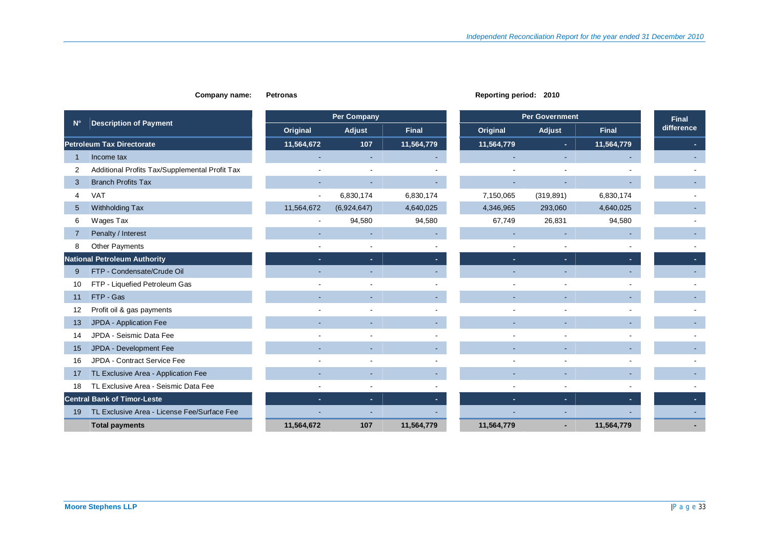#### **Company name:** Petronas **Reporting period:** 2010

|                |                                                |            | <b>Per Company</b> |              | <b>Per Government</b> | <b>Final</b> |              |            |
|----------------|------------------------------------------------|------------|--------------------|--------------|-----------------------|--------------|--------------|------------|
| $N^{\circ}$    | <b>Description of Payment</b>                  | Original   | Adjust             | <b>Final</b> | Original              | Adjust       | <b>Final</b> | difference |
|                | <b>Petroleum Tax Directorate</b>               | 11,564,672 | 107                | 11,564,779   | 11,564,779            | ٠.           | 11,564,779   |            |
| -1             | Income tax                                     |            |                    |              |                       |              |              |            |
| $\overline{2}$ | Additional Profits Tax/Supplemental Profit Tax |            |                    |              |                       |              |              |            |
| 3              | <b>Branch Profits Tax</b>                      |            |                    |              |                       |              |              |            |
| 4              | <b>VAT</b>                                     |            | 6,830,174          | 6,830,174    | 7,150,065             | (319, 891)   | 6,830,174    |            |
| 5              | Withholding Tax                                | 11,564,672 | (6,924,647)        | 4,640,025    | 4,346,965             | 293,060      | 4,640,025    |            |
| 6              | Wages Tax                                      |            | 94,580             | 94,580       | 67,749                | 26,831       | 94,580       |            |
| 7              | Penalty / Interest                             |            |                    |              |                       |              |              |            |
| 8              | <b>Other Payments</b>                          |            |                    |              |                       |              |              |            |
|                | <b>National Petroleum Authority</b>            |            |                    |              |                       |              |              |            |
| 9              | FTP - Condensate/Crude Oil                     |            |                    |              |                       |              |              |            |
| 10             | FTP - Liquefied Petroleum Gas                  |            |                    |              |                       |              |              |            |
| 11             | FTP - Gas                                      |            |                    |              |                       |              |              |            |
| 12             | Profit oil & gas payments                      |            |                    |              |                       |              |              |            |
| 13             | JPDA - Application Fee                         |            |                    |              |                       |              |              |            |
| 14             | JPDA - Seismic Data Fee                        |            |                    |              |                       |              |              |            |
| 15             | JPDA - Development Fee                         |            |                    |              |                       |              |              |            |
| 16             | JPDA - Contract Service Fee                    |            |                    |              |                       |              |              |            |
| 17             | TL Exclusive Area - Application Fee            |            |                    |              |                       |              |              |            |
| 18             | TL Exclusive Area - Seismic Data Fee           |            |                    |              |                       |              |              |            |
|                | <b>Central Bank of Timor-Leste</b>             | ٠.         | ш.                 |              |                       | ٠            |              |            |
| 19             | TL Exclusive Area - License Fee/Surface Fee    |            |                    |              |                       |              |              |            |
|                | <b>Total payments</b>                          | 11,564,672 | 107                | 11,564,779   | 11,564,779            |              | 11,564,779   |            |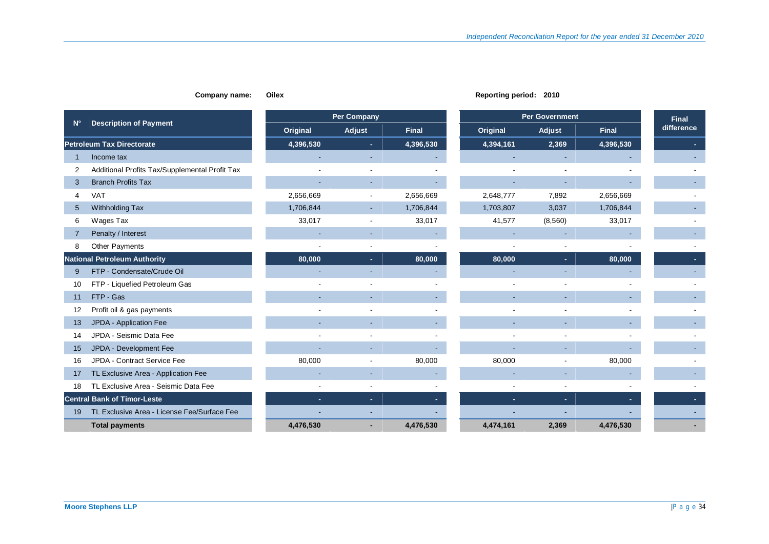| Oile<br>ıame: |
|---------------|
|               |

|                |                                                |           | <b>Per Company</b> |              | <b>Per Government</b> |                          | <b>Final</b> |            |
|----------------|------------------------------------------------|-----------|--------------------|--------------|-----------------------|--------------------------|--------------|------------|
| $N^{\circ}$    | <b>Description of Payment</b>                  | Original  | Adjust             | <b>Final</b> | Original              | Adjust                   | <b>Final</b> | difference |
|                | <b>Petroleum Tax Directorate</b>               | 4,396,530 | ٠                  | 4,396,530    | 4,394,161             | 2,369                    | 4,396,530    |            |
|                | Income tax                                     |           |                    |              |                       |                          |              |            |
| $\overline{2}$ | Additional Profits Tax/Supplemental Profit Tax |           |                    |              |                       |                          |              |            |
| 3              | <b>Branch Profits Tax</b>                      |           |                    |              |                       |                          |              |            |
| 4              | <b>VAT</b>                                     | 2,656,669 | $\blacksquare$     | 2,656,669    | 2,648,777             | 7,892                    | 2,656,669    |            |
| 5              | Withholding Tax                                | 1,706,844 | ٠                  | 1,706,844    | 1,703,807             | 3,037                    | 1,706,844    |            |
| 6              | Wages Tax                                      | 33,017    | $\blacksquare$     | 33,017       | 41,577                | (8,560)                  | 33,017       |            |
| 7              | Penalty / Interest                             |           |                    |              |                       |                          |              |            |
| 8              | <b>Other Payments</b>                          |           |                    |              |                       |                          |              |            |
|                | <b>National Petroleum Authority</b>            | 80,000    | $\sim$             | 80,000       | 80,000                | $\sim$                   | 80,000       |            |
| 9              | FTP - Condensate/Crude Oil                     |           |                    |              |                       |                          |              |            |
| 10             | FTP - Liquefied Petroleum Gas                  |           |                    |              |                       |                          |              |            |
| 11             | FTP - Gas                                      |           |                    |              |                       |                          |              |            |
| 12             | Profit oil & gas payments                      |           |                    |              |                       |                          |              |            |
| 13             | JPDA - Application Fee                         |           |                    |              |                       |                          |              |            |
| 14             | JPDA - Seismic Data Fee                        |           |                    |              |                       |                          |              |            |
| 15             | JPDA - Development Fee                         |           |                    |              |                       |                          |              |            |
| 16             | JPDA - Contract Service Fee                    | 80,000    |                    | 80,000       | 80,000                |                          | 80,000       |            |
| 17             | TL Exclusive Area - Application Fee            |           |                    |              |                       |                          |              |            |
| 18             | TL Exclusive Area - Seismic Data Fee           |           |                    |              |                       |                          |              |            |
|                | <b>Central Bank of Timor-Leste</b>             | ÷         | ÷.                 |              | ÷.                    | $\overline{\phantom{a}}$ |              |            |
| 19             | TL Exclusive Area - License Fee/Surface Fee    |           |                    |              |                       |                          |              |            |
|                | <b>Total payments</b>                          | 4,476,530 |                    | 4,476,530    | 4,474,161             | 2,369                    | 4,476,530    |            |

#### **Company name:** Oilex **Company name:** Oilex **Reporting period:** 2010

|           | Per Company |              |           | <b>Per Government</b> |              | <b>Final</b> |
|-----------|-------------|--------------|-----------|-----------------------|--------------|--------------|
| Original  | Adjust      | <b>Final</b> | Original  | Adjust                | <b>Final</b> | difference   |
| 4,396,530 |             | 4,396,530    | 4,394,161 | 2,369                 | 4,396,530    |              |
|           |             |              |           |                       |              |              |
|           |             |              |           |                       |              |              |
|           |             |              |           |                       |              |              |
| 2,656,669 |             | 2,656,669    | 2,648,777 | 7,892                 | 2,656,669    |              |
| 1,706,844 |             | 1,706,844    | 1,703,807 | 3,037                 | 1,706,844    |              |
| 33,017    |             | 33,017       | 41,577    | (8, 560)              | 33,017       |              |
|           |             |              |           |                       |              |              |
|           |             |              |           |                       |              |              |
| 80,000    |             | 80,000       | 80,000    | ٠                     | 80,000       |              |
|           |             |              |           |                       |              |              |
|           |             |              |           |                       |              |              |
|           |             |              |           |                       |              |              |
|           |             |              |           | L,                    |              |              |
|           |             |              |           |                       |              |              |
|           |             |              |           |                       |              |              |
|           |             |              |           |                       |              |              |
| 80,000    |             | 80,000       | 80,000    |                       | 80,000       |              |
|           |             |              |           |                       |              |              |
|           |             |              |           | -                     |              |              |
|           |             |              |           |                       |              |              |
|           |             |              |           |                       |              |              |
| 4,476,530 |             | 4,476,530    | 4,474,161 | 2,369                 | 4,476,530    |              |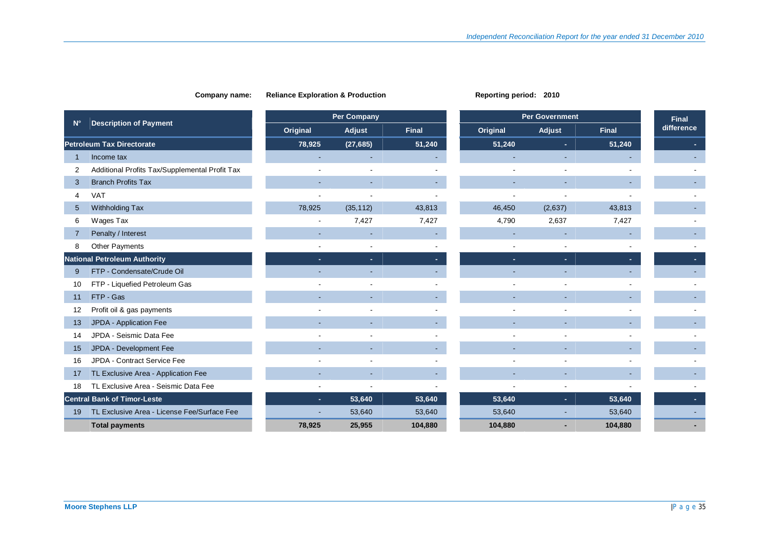|             |                                                |                          | <b>Per Company</b> |              |          | <b>Per Government</b> |              | <b>Final</b> |
|-------------|------------------------------------------------|--------------------------|--------------------|--------------|----------|-----------------------|--------------|--------------|
| $N^{\circ}$ | <b>Description of Payment</b>                  | Original                 | Adjust             | <b>Final</b> | Original | Adjust                | <b>Final</b> | difference   |
|             | <b>Petroleum Tax Directorate</b>               | 78,925                   | (27, 685)          | 51,240       | 51,240   | ٠                     | 51,240       |              |
|             | Income tax                                     |                          |                    |              |          |                       |              |              |
| 2           | Additional Profits Tax/Supplemental Profit Tax |                          |                    |              |          |                       |              |              |
| 3           | <b>Branch Profits Tax</b>                      |                          |                    |              |          |                       |              |              |
| 4           | <b>VAT</b>                                     |                          |                    |              |          |                       |              |              |
| $5^{\circ}$ | Withholding Tax                                | 78,925                   | (35, 112)          | 43,813       | 46,450   | (2,637)               | 43,813       |              |
| 6           | Wages Tax                                      | $\overline{\phantom{a}}$ | 7,427              | 7,427        | 4,790    | 2,637                 | 7,427        |              |
| 7           | Penalty / Interest                             |                          |                    |              |          |                       |              |              |
| 8           | <b>Other Payments</b>                          |                          |                    |              |          |                       |              |              |
|             | <b>National Petroleum Authority</b>            |                          | ÷.                 |              |          | н.                    |              |              |
| 9           | FTP - Condensate/Crude Oil                     |                          |                    |              |          |                       |              |              |
| 10          | FTP - Liquefied Petroleum Gas                  |                          |                    |              |          |                       |              |              |
| 11          | FTP - Gas                                      |                          |                    |              |          |                       |              |              |
| 12          | Profit oil & gas payments                      |                          |                    |              |          |                       |              |              |
| 13          | JPDA - Application Fee                         |                          |                    |              |          |                       |              |              |
| 14          | JPDA - Seismic Data Fee                        |                          |                    |              |          |                       |              |              |
| 15          | JPDA - Development Fee                         |                          |                    |              |          |                       |              |              |
| 16          | JPDA - Contract Service Fee                    |                          |                    |              |          |                       |              |              |
| 17          | TL Exclusive Area - Application Fee            |                          |                    |              |          |                       |              |              |
| 18          | TL Exclusive Area - Seismic Data Fee           |                          |                    |              |          |                       |              |              |
|             | <b>Central Bank of Timor-Leste</b>             | ×.                       | 53,640             | 53,640       | 53,640   | ٠                     | 53,640       |              |
| 19          | TL Exclusive Area - License Fee/Surface Fee    |                          | 53,640             | 53,640       | 53,640   |                       | 53,640       |              |
|             | <b>Total payments</b>                          | 78,925                   | 25,955             | 104,880      | 104,880  |                       | 104,880      |              |

## **Company name:** Reliance Exploration & Production **Reporting Period:** 2010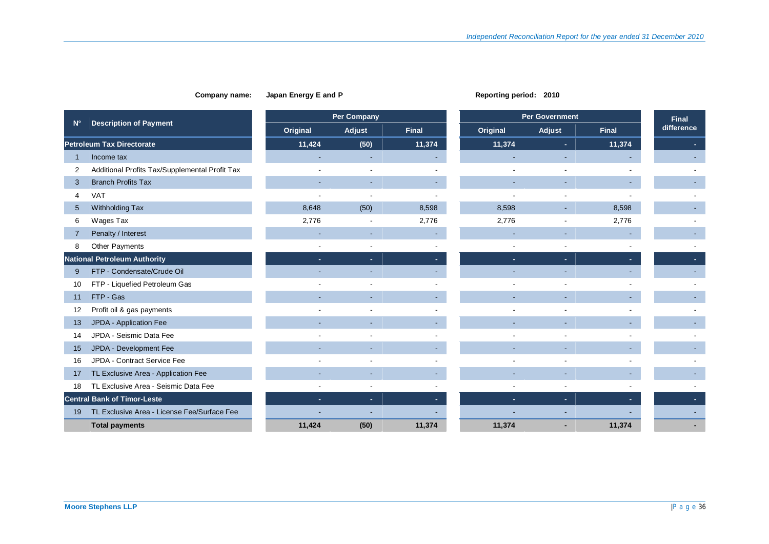#### **Company name:** Japan Energy E and P **Reporting period:** 2010

|             |                                                |          | <b>Per Company</b> |              |          | <b>Per Government</b> |              |            |  |
|-------------|------------------------------------------------|----------|--------------------|--------------|----------|-----------------------|--------------|------------|--|
| $N^{\circ}$ | <b>Description of Payment</b>                  | Original | Adjust             | <b>Final</b> | Original | Adjust                | <b>Final</b> | difference |  |
|             | <b>Petroleum Tax Directorate</b>               | 11,424   | (50)               | 11,374       | 11,374   | ٠                     | 11,374       |            |  |
| 1           | Income tax                                     |          |                    |              |          |                       |              |            |  |
| 2           | Additional Profits Tax/Supplemental Profit Tax |          |                    |              |          |                       |              |            |  |
| 3           | <b>Branch Profits Tax</b>                      |          |                    |              |          |                       |              |            |  |
| 4           | <b>VAT</b>                                     |          |                    |              |          |                       |              |            |  |
| 5           | Withholding Tax                                | 8,648    | (50)               | 8,598        | 8,598    |                       | 8,598        |            |  |
| 6           | Wages Tax                                      | 2,776    |                    | 2,776        | 2,776    |                       | 2,776        |            |  |
| 7           | Penalty / Interest                             |          |                    |              |          |                       |              |            |  |
| 8           | Other Payments                                 |          |                    |              |          |                       |              |            |  |
|             | <b>National Petroleum Authority</b>            |          | ×.                 |              |          |                       |              |            |  |
| 9           | FTP - Condensate/Crude Oil                     |          |                    |              |          |                       |              |            |  |
| 10          | FTP - Liquefied Petroleum Gas                  |          |                    |              |          |                       |              |            |  |
| 11          | FTP - Gas                                      |          |                    |              |          |                       |              |            |  |
| 12          | Profit oil & gas payments                      |          |                    |              |          |                       |              |            |  |
| 13          | JPDA - Application Fee                         |          |                    |              |          |                       |              |            |  |
| 14          | JPDA - Seismic Data Fee                        |          |                    |              |          |                       |              |            |  |
| 15          | JPDA - Development Fee                         |          |                    |              |          |                       |              |            |  |
| 16          | JPDA - Contract Service Fee                    |          |                    |              |          |                       |              |            |  |
| 17          | TL Exclusive Area - Application Fee            |          |                    |              |          |                       |              |            |  |
| 18          | TL Exclusive Area - Seismic Data Fee           |          |                    |              |          |                       |              |            |  |
|             | <b>Central Bank of Timor-Leste</b>             | ×.       | ×.                 |              |          | ٠                     |              |            |  |
| 19          | TL Exclusive Area - License Fee/Surface Fee    |          |                    |              |          |                       |              |            |  |
|             | <b>Total payments</b>                          | 11,424   | (50)               | 11,374       | 11,374   |                       | 11,374       |            |  |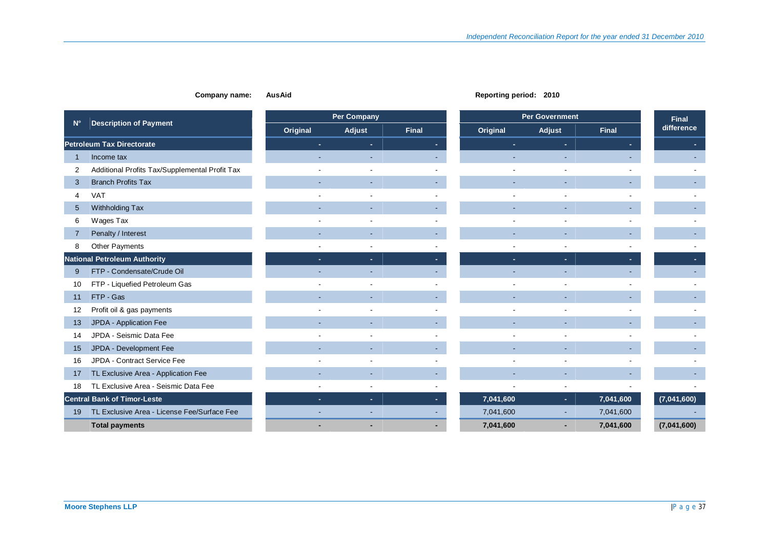#### **Company name:** AusAid **Reporting period:** 2010

|                |                                                |          | <b>Per Company</b> |       |           | <b>Per Government</b> |           | <b>Final</b> |
|----------------|------------------------------------------------|----------|--------------------|-------|-----------|-----------------------|-----------|--------------|
| $N^{\circ}$    | <b>Description of Payment</b>                  | Original | Adjust             | Final | Original  | Adjust                | Final     | difference   |
|                | <b>Petroleum Tax Directorate</b>               |          | ۰.                 |       |           | ٠                     |           |              |
|                | Income tax                                     |          |                    |       |           |                       |           |              |
| 2              | Additional Profits Tax/Supplemental Profit Tax |          |                    |       |           |                       |           |              |
| 3              | <b>Branch Profits Tax</b>                      |          |                    |       |           |                       |           |              |
| $\overline{4}$ | <b>VAT</b>                                     |          |                    |       |           |                       |           |              |
| 5              | Withholding Tax                                |          |                    |       |           |                       |           |              |
| 6              | Wages Tax                                      |          |                    |       |           |                       |           |              |
|                | Penalty / Interest                             |          |                    |       |           |                       |           |              |
| 8              | Other Payments                                 |          |                    |       |           |                       |           |              |
|                | <b>National Petroleum Authority</b>            |          | ÷.                 |       |           | ÷                     |           |              |
| 9              | FTP - Condensate/Crude Oil                     |          |                    |       |           |                       |           |              |
| 10             | FTP - Liquefied Petroleum Gas                  |          |                    |       |           |                       |           |              |
| 11             | FTP - Gas                                      |          |                    |       |           |                       |           |              |
| 12             | Profit oil & gas payments                      |          |                    |       |           |                       |           |              |
| 13             | JPDA - Application Fee                         |          |                    |       |           |                       |           |              |
| 14             | JPDA - Seismic Data Fee                        |          |                    |       |           |                       |           |              |
| 15             | JPDA - Development Fee                         |          |                    |       |           |                       |           |              |
| 16             | JPDA - Contract Service Fee                    |          |                    |       |           |                       |           |              |
| 17             | TL Exclusive Area - Application Fee            |          |                    |       |           |                       |           |              |
| 18             | TL Exclusive Area - Seismic Data Fee           |          |                    |       |           |                       |           |              |
|                | <b>Central Bank of Timor-Leste</b>             | ÷.       | ×.                 |       | 7,041,600 | ×.                    | 7,041,600 | (7,041,600)  |
| 19             | TL Exclusive Area - License Fee/Surface Fee    |          |                    |       | 7,041,600 |                       | 7,041,600 |              |
|                | <b>Total payments</b>                          |          |                    |       | 7,041,600 |                       | 7,041,600 | (7,041,600)  |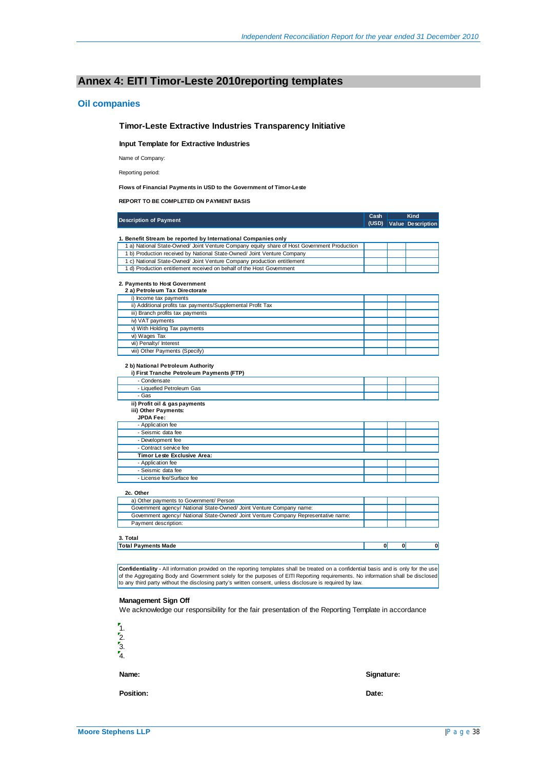### **Annex 4: EITI Timor-Leste 2010reporting templates**

#### **Oil companies**

#### **Timor-Leste Extractive Industries Transparency Initiative**

**Input Template for Extractive Industries**

Name of Company:

Reporting period:

#### **Flows of Financial Payments in USD to the Government of Timor-Leste**

**REPORT TO BE COMPLETED ON PAYMENT BASIS**

| (USD)<br><b>Value</b> Description<br>1. Benefit Stream be reported by International Companies only<br>1 a) National State-Owned/ Joint Venture Company equity share of Host Government Production<br>1 b) Production received by National State-Owned/ Joint Venture Company<br>1 c) National State-Owned/ Joint Venture Company production entitlement<br>1 d) Production entitlement received on behalf of the Host Govemment<br>2. Payments to Host Government<br>2 a) Petroleum Tax Directorate<br>i) Income tax payments<br>ii) Additional profits tax payments/Supplemental Profit Tax<br>iii) Branch profits tax payments<br>iv) VAT payments<br>v) With Holding Tax payments<br>vi) Wages Tax<br>vii) Penalty/ Interest<br>viii) Other Payments (Specify)<br>2 b) National Petroleum Authority<br>i) First Tranche Petroleum Payments (FTP)<br>- Condensate<br>- Liquefied Petroleum Gas<br>- Gas<br>ii) Profit oil & gas payments<br>iii) Other Payments:<br><b>JPDA Fee:</b><br>- Application fee<br>- Seismic data fee<br>- Development fee<br>- Contract service fee<br>Timor Leste Exclusive Area:<br>- Application fee<br>- Seismic data fee<br>- License fee/Surface fee<br>2c. Other<br>a) Other payments to Government/ Person<br>Government agency/ National State-Owned/ Joint Venture Company name: | <b>Description of Payment</b>                                                       | Cash | Kind |
|-------------------------------------------------------------------------------------------------------------------------------------------------------------------------------------------------------------------------------------------------------------------------------------------------------------------------------------------------------------------------------------------------------------------------------------------------------------------------------------------------------------------------------------------------------------------------------------------------------------------------------------------------------------------------------------------------------------------------------------------------------------------------------------------------------------------------------------------------------------------------------------------------------------------------------------------------------------------------------------------------------------------------------------------------------------------------------------------------------------------------------------------------------------------------------------------------------------------------------------------------------------------------------------------------------------------------|-------------------------------------------------------------------------------------|------|------|
|                                                                                                                                                                                                                                                                                                                                                                                                                                                                                                                                                                                                                                                                                                                                                                                                                                                                                                                                                                                                                                                                                                                                                                                                                                                                                                                         |                                                                                     |      |      |
|                                                                                                                                                                                                                                                                                                                                                                                                                                                                                                                                                                                                                                                                                                                                                                                                                                                                                                                                                                                                                                                                                                                                                                                                                                                                                                                         |                                                                                     |      |      |
|                                                                                                                                                                                                                                                                                                                                                                                                                                                                                                                                                                                                                                                                                                                                                                                                                                                                                                                                                                                                                                                                                                                                                                                                                                                                                                                         |                                                                                     |      |      |
|                                                                                                                                                                                                                                                                                                                                                                                                                                                                                                                                                                                                                                                                                                                                                                                                                                                                                                                                                                                                                                                                                                                                                                                                                                                                                                                         |                                                                                     |      |      |
|                                                                                                                                                                                                                                                                                                                                                                                                                                                                                                                                                                                                                                                                                                                                                                                                                                                                                                                                                                                                                                                                                                                                                                                                                                                                                                                         |                                                                                     |      |      |
|                                                                                                                                                                                                                                                                                                                                                                                                                                                                                                                                                                                                                                                                                                                                                                                                                                                                                                                                                                                                                                                                                                                                                                                                                                                                                                                         |                                                                                     |      |      |
|                                                                                                                                                                                                                                                                                                                                                                                                                                                                                                                                                                                                                                                                                                                                                                                                                                                                                                                                                                                                                                                                                                                                                                                                                                                                                                                         |                                                                                     |      |      |
|                                                                                                                                                                                                                                                                                                                                                                                                                                                                                                                                                                                                                                                                                                                                                                                                                                                                                                                                                                                                                                                                                                                                                                                                                                                                                                                         |                                                                                     |      |      |
|                                                                                                                                                                                                                                                                                                                                                                                                                                                                                                                                                                                                                                                                                                                                                                                                                                                                                                                                                                                                                                                                                                                                                                                                                                                                                                                         |                                                                                     |      |      |
|                                                                                                                                                                                                                                                                                                                                                                                                                                                                                                                                                                                                                                                                                                                                                                                                                                                                                                                                                                                                                                                                                                                                                                                                                                                                                                                         |                                                                                     |      |      |
|                                                                                                                                                                                                                                                                                                                                                                                                                                                                                                                                                                                                                                                                                                                                                                                                                                                                                                                                                                                                                                                                                                                                                                                                                                                                                                                         |                                                                                     |      |      |
|                                                                                                                                                                                                                                                                                                                                                                                                                                                                                                                                                                                                                                                                                                                                                                                                                                                                                                                                                                                                                                                                                                                                                                                                                                                                                                                         |                                                                                     |      |      |
|                                                                                                                                                                                                                                                                                                                                                                                                                                                                                                                                                                                                                                                                                                                                                                                                                                                                                                                                                                                                                                                                                                                                                                                                                                                                                                                         |                                                                                     |      |      |
|                                                                                                                                                                                                                                                                                                                                                                                                                                                                                                                                                                                                                                                                                                                                                                                                                                                                                                                                                                                                                                                                                                                                                                                                                                                                                                                         |                                                                                     |      |      |
|                                                                                                                                                                                                                                                                                                                                                                                                                                                                                                                                                                                                                                                                                                                                                                                                                                                                                                                                                                                                                                                                                                                                                                                                                                                                                                                         |                                                                                     |      |      |
|                                                                                                                                                                                                                                                                                                                                                                                                                                                                                                                                                                                                                                                                                                                                                                                                                                                                                                                                                                                                                                                                                                                                                                                                                                                                                                                         |                                                                                     |      |      |
|                                                                                                                                                                                                                                                                                                                                                                                                                                                                                                                                                                                                                                                                                                                                                                                                                                                                                                                                                                                                                                                                                                                                                                                                                                                                                                                         |                                                                                     |      |      |
|                                                                                                                                                                                                                                                                                                                                                                                                                                                                                                                                                                                                                                                                                                                                                                                                                                                                                                                                                                                                                                                                                                                                                                                                                                                                                                                         |                                                                                     |      |      |
|                                                                                                                                                                                                                                                                                                                                                                                                                                                                                                                                                                                                                                                                                                                                                                                                                                                                                                                                                                                                                                                                                                                                                                                                                                                                                                                         |                                                                                     |      |      |
|                                                                                                                                                                                                                                                                                                                                                                                                                                                                                                                                                                                                                                                                                                                                                                                                                                                                                                                                                                                                                                                                                                                                                                                                                                                                                                                         |                                                                                     |      |      |
|                                                                                                                                                                                                                                                                                                                                                                                                                                                                                                                                                                                                                                                                                                                                                                                                                                                                                                                                                                                                                                                                                                                                                                                                                                                                                                                         |                                                                                     |      |      |
|                                                                                                                                                                                                                                                                                                                                                                                                                                                                                                                                                                                                                                                                                                                                                                                                                                                                                                                                                                                                                                                                                                                                                                                                                                                                                                                         |                                                                                     |      |      |
|                                                                                                                                                                                                                                                                                                                                                                                                                                                                                                                                                                                                                                                                                                                                                                                                                                                                                                                                                                                                                                                                                                                                                                                                                                                                                                                         |                                                                                     |      |      |
|                                                                                                                                                                                                                                                                                                                                                                                                                                                                                                                                                                                                                                                                                                                                                                                                                                                                                                                                                                                                                                                                                                                                                                                                                                                                                                                         |                                                                                     |      |      |
|                                                                                                                                                                                                                                                                                                                                                                                                                                                                                                                                                                                                                                                                                                                                                                                                                                                                                                                                                                                                                                                                                                                                                                                                                                                                                                                         |                                                                                     |      |      |
|                                                                                                                                                                                                                                                                                                                                                                                                                                                                                                                                                                                                                                                                                                                                                                                                                                                                                                                                                                                                                                                                                                                                                                                                                                                                                                                         |                                                                                     |      |      |
|                                                                                                                                                                                                                                                                                                                                                                                                                                                                                                                                                                                                                                                                                                                                                                                                                                                                                                                                                                                                                                                                                                                                                                                                                                                                                                                         |                                                                                     |      |      |
|                                                                                                                                                                                                                                                                                                                                                                                                                                                                                                                                                                                                                                                                                                                                                                                                                                                                                                                                                                                                                                                                                                                                                                                                                                                                                                                         |                                                                                     |      |      |
|                                                                                                                                                                                                                                                                                                                                                                                                                                                                                                                                                                                                                                                                                                                                                                                                                                                                                                                                                                                                                                                                                                                                                                                                                                                                                                                         |                                                                                     |      |      |
|                                                                                                                                                                                                                                                                                                                                                                                                                                                                                                                                                                                                                                                                                                                                                                                                                                                                                                                                                                                                                                                                                                                                                                                                                                                                                                                         |                                                                                     |      |      |
|                                                                                                                                                                                                                                                                                                                                                                                                                                                                                                                                                                                                                                                                                                                                                                                                                                                                                                                                                                                                                                                                                                                                                                                                                                                                                                                         |                                                                                     |      |      |
|                                                                                                                                                                                                                                                                                                                                                                                                                                                                                                                                                                                                                                                                                                                                                                                                                                                                                                                                                                                                                                                                                                                                                                                                                                                                                                                         |                                                                                     |      |      |
|                                                                                                                                                                                                                                                                                                                                                                                                                                                                                                                                                                                                                                                                                                                                                                                                                                                                                                                                                                                                                                                                                                                                                                                                                                                                                                                         |                                                                                     |      |      |
|                                                                                                                                                                                                                                                                                                                                                                                                                                                                                                                                                                                                                                                                                                                                                                                                                                                                                                                                                                                                                                                                                                                                                                                                                                                                                                                         |                                                                                     |      |      |
|                                                                                                                                                                                                                                                                                                                                                                                                                                                                                                                                                                                                                                                                                                                                                                                                                                                                                                                                                                                                                                                                                                                                                                                                                                                                                                                         |                                                                                     |      |      |
|                                                                                                                                                                                                                                                                                                                                                                                                                                                                                                                                                                                                                                                                                                                                                                                                                                                                                                                                                                                                                                                                                                                                                                                                                                                                                                                         |                                                                                     |      |      |
|                                                                                                                                                                                                                                                                                                                                                                                                                                                                                                                                                                                                                                                                                                                                                                                                                                                                                                                                                                                                                                                                                                                                                                                                                                                                                                                         |                                                                                     |      |      |
|                                                                                                                                                                                                                                                                                                                                                                                                                                                                                                                                                                                                                                                                                                                                                                                                                                                                                                                                                                                                                                                                                                                                                                                                                                                                                                                         |                                                                                     |      |      |
|                                                                                                                                                                                                                                                                                                                                                                                                                                                                                                                                                                                                                                                                                                                                                                                                                                                                                                                                                                                                                                                                                                                                                                                                                                                                                                                         | Government agency/ National State-Owned/ Joint Venture Company Representative name: |      |      |
| Payment description:                                                                                                                                                                                                                                                                                                                                                                                                                                                                                                                                                                                                                                                                                                                                                                                                                                                                                                                                                                                                                                                                                                                                                                                                                                                                                                    |                                                                                     |      |      |
|                                                                                                                                                                                                                                                                                                                                                                                                                                                                                                                                                                                                                                                                                                                                                                                                                                                                                                                                                                                                                                                                                                                                                                                                                                                                                                                         |                                                                                     |      |      |
|                                                                                                                                                                                                                                                                                                                                                                                                                                                                                                                                                                                                                                                                                                                                                                                                                                                                                                                                                                                                                                                                                                                                                                                                                                                                                                                         | 3. Total                                                                            |      |      |
| $\mathbf{0}$<br>$\mathbf{0}$                                                                                                                                                                                                                                                                                                                                                                                                                                                                                                                                                                                                                                                                                                                                                                                                                                                                                                                                                                                                                                                                                                                                                                                                                                                                                            | <b>Total Payments Made</b>                                                          |      | 0    |

**Confidentiality -** All information provided on the reporting templates shall be treated on a confidential basis and is only for the use of the Aggregating Body and Government solely for the purposes of EITI Reporting requirements. No information shall be disclosed<br>to any third party without the disclosing party's written consent, unless disclosure is requi

#### **Management Sign Off**

We acknowledge our responsibility for the fair presentation of the Reporting Template in accordance



**Position: Date:**

**Name: Signature:**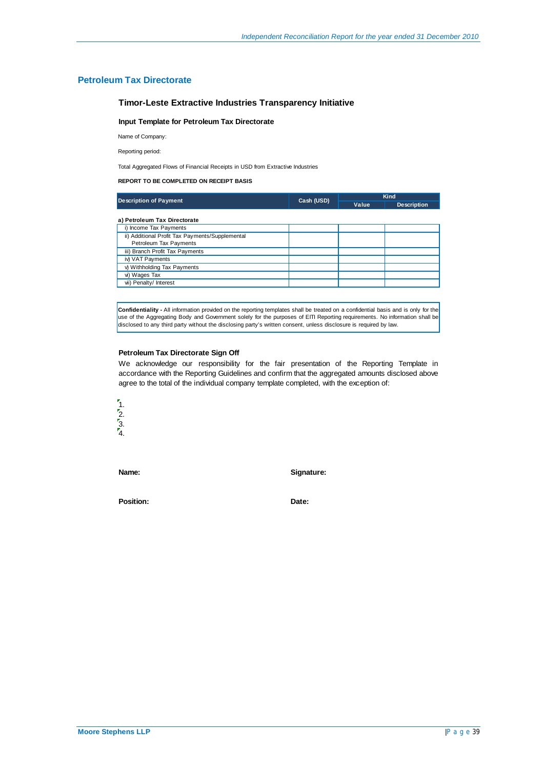#### **Petroleum Tax Directorate**

#### **Timor-Leste Extractive Industries Transparency Initiative**

#### **Input Template for Petroleum Tax Directorate**

Name of Company:

Reporting period:

Total Aggregated Flows of Financial Receipts in USD from Extractive Industries

#### **REPORT TO BE COMPLETED ON RECEIPT BASIS**

| <b>Description of Payment</b>                   | Cash (USD) | Kind  |                    |  |
|-------------------------------------------------|------------|-------|--------------------|--|
|                                                 |            | Value | <b>Description</b> |  |
| a) Petroleum Tax Directorate                    |            |       |                    |  |
| i) Income Tax Payments                          |            |       |                    |  |
| ii) Additional Profit Tax Payments/Supplemental |            |       |                    |  |
| Petroleum Tax Payments                          |            |       |                    |  |
| iii) Branch Profit Tax Payments                 |            |       |                    |  |
| iv) VAT Payments                                |            |       |                    |  |
| v) Withholding Tax Payments                     |            |       |                    |  |
| vi) Wages Tax                                   |            |       |                    |  |
| vii) Penalty/ Interest                          |            |       |                    |  |

**Confidentiality -** All information provided on the reporting templates shall be treated on a confidential basis and is only for the use of the Aggregating Body and Government solely for the purposes of EITI Reporting requirements. No information shall be disclosed to any third party without the disclosing party's written consent, unless disclosure is required by law.

#### **Petroleum Tax Directorate Sign Off**

We acknowledge our responsibility for the fair presentation of the Reporting Template in accordance with the Reporting Guidelines and confirm that the aggregated amounts disclosed above agree to the total of the individual company template completed, with the exception of:



**Name: Signature:**

Position: **Date: Date:**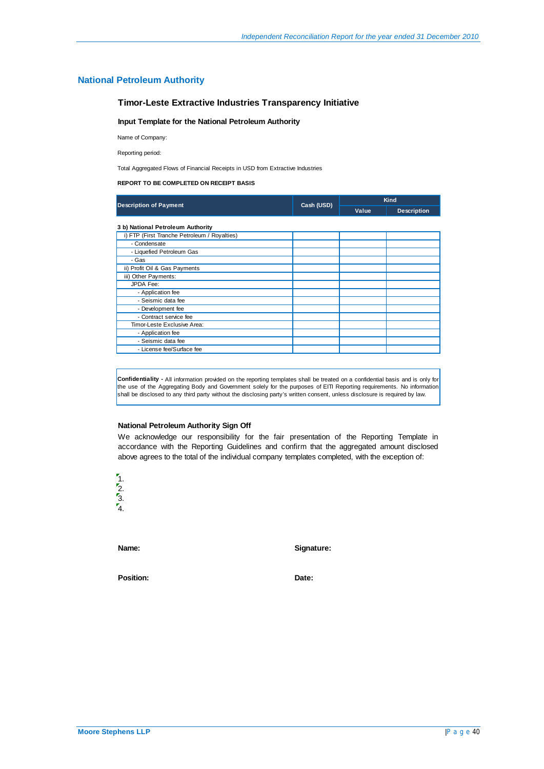#### **National Petroleum Authority**

#### **Timor-Leste Extractive Industries Transparency Initiative**

#### **Input Template for the National Petroleum Authority**

Name of Company:

Reporting period:

Total Aggregated Flows of Financial Receipts in USD from Extractive Industries

#### **REPORT TO BE COMPLETED ON RECEIPT BASIS**

|                                              | Cash (USD) | <b>Kind</b> |                    |  |
|----------------------------------------------|------------|-------------|--------------------|--|
| <b>Description of Payment</b>                |            | Value       | <b>Description</b> |  |
| 3 b) National Petroleum Authority            |            |             |                    |  |
| i) FTP (First Tranche Petroleum / Royalties) |            |             |                    |  |
| - Condensate                                 |            |             |                    |  |
| - Liquefied Petroleum Gas                    |            |             |                    |  |
| - Gas                                        |            |             |                    |  |
| ii) Profit Oil & Gas Payments                |            |             |                    |  |
| iii) Other Payments:                         |            |             |                    |  |
| JPDA Fee:                                    |            |             |                    |  |
| - Application fee                            |            |             |                    |  |
| - Seismic data fee                           |            |             |                    |  |
| - Development fee                            |            |             |                    |  |
| - Contract service fee                       |            |             |                    |  |
| Timor-Leste Exclusive Area:                  |            |             |                    |  |
| - Application fee                            |            |             |                    |  |
| - Seismic data fee                           |            |             |                    |  |
| - License fee/Surface fee                    |            |             |                    |  |

**Confidentiality -** All information provided on the reporting templates shall be treated on a confidential basis and is only for the use of the Aggregating Body and Government solely for the purposes of EITI Reporting requirements. No information shall be disclosed to any third party without the disclosing party's written consent, unless disclosure is required by law.

#### **National Petroleum Authority Sign Off**

We acknowledge our responsibility for the fair presentation of the Reporting Template in accordance with the Reporting Guidelines and confirm that the aggregated amount disclosed above agrees to the total of the individual company templates completed, with the exception of:



**Name: Signature:**

Position: **Date: Date: Date:**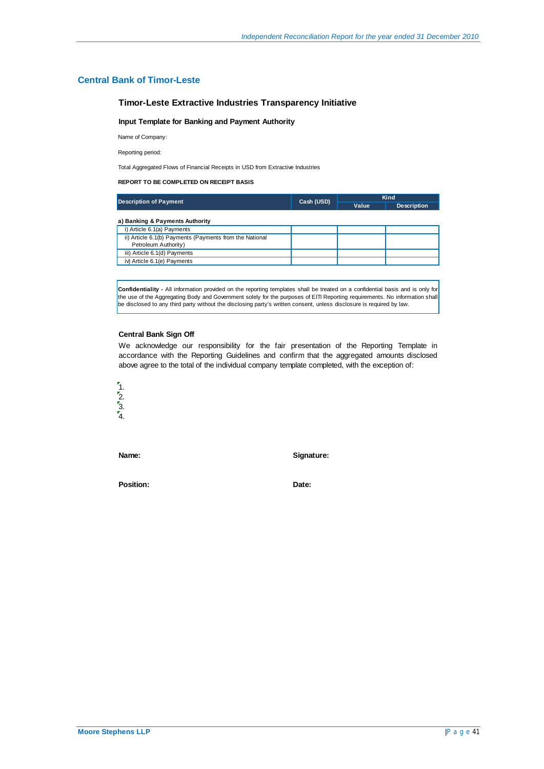#### **Central Bank of Timor-Leste**

#### **Timor-Leste Extractive Industries Transparency Initiative**

#### **Input Template for Banking and Payment Authority**

Name of Company:

Reporting period:

Total Aggregated Flows of Financial Receipts in USD from Extractive Industries

#### **REPORT TO BE COMPLETED ON RECEIPT BASIS**

| <b>Description of Payment</b>                                                   | Cash (USD) | Kind  |                    |  |
|---------------------------------------------------------------------------------|------------|-------|--------------------|--|
|                                                                                 |            | Value | <b>Description</b> |  |
| a) Banking & Payments Authority                                                 |            |       |                    |  |
| i) Article 6.1(a) Payments                                                      |            |       |                    |  |
| ii) Article 6.1(b) Payments (Payments from the National<br>Petroleum Authority) |            |       |                    |  |
| iii) Article 6.1(d) Payments                                                    |            |       |                    |  |
| iv) Article 6.1(e) Payments                                                     |            |       |                    |  |

**Confidentiality -** All information provided on the reporting templates shall be treated on a confidential basis and is only for the use of the Aggregating Body and Government solely for the purposes of EITI Reporting requirements. No information shall be disclosed to any third party without the disclosing party's written consent, unless disclosure is required by law.

#### **Central Bank Sign Off**

We acknowledge our responsibility for the fair presentation of the Reporting Template in accordance with the Reporting Guidelines and confirm that the aggregated amounts disclosed above agree to the total of the individual company template completed, with the exception of:



**Name: Signature:**

Position: **Date:**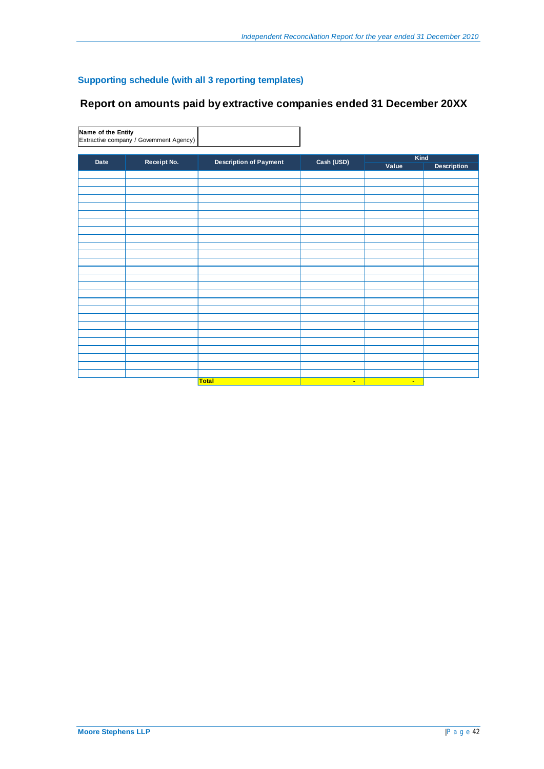## **Supporting schedule (with all 3 reporting templates)**

## **Report on amounts paid by extractive companies ended 31 December 20XX**

**Name of the Entity** Extractive company / Government Agency)

|      |             |                               |            | Kind   |                    |
|------|-------------|-------------------------------|------------|--------|--------------------|
| Date | Receipt No. | <b>Description of Payment</b> | Cash (USD) | Value  | <b>Description</b> |
|      |             |                               |            |        |                    |
|      |             |                               |            |        |                    |
|      |             |                               |            |        |                    |
|      |             |                               |            |        |                    |
|      |             |                               |            |        |                    |
|      |             |                               |            |        |                    |
|      |             |                               |            |        |                    |
|      |             |                               |            |        |                    |
|      |             |                               |            |        |                    |
|      |             |                               |            |        |                    |
|      |             |                               |            |        |                    |
|      |             |                               |            |        |                    |
|      |             |                               |            |        |                    |
|      |             |                               |            |        |                    |
|      |             |                               |            |        |                    |
|      |             |                               |            |        |                    |
|      |             |                               |            |        |                    |
|      |             |                               |            |        |                    |
|      |             |                               |            |        |                    |
|      |             |                               |            |        |                    |
|      |             |                               |            |        |                    |
|      |             |                               |            |        |                    |
|      |             |                               |            |        |                    |
|      |             |                               |            |        |                    |
|      |             |                               |            |        |                    |
|      |             |                               |            |        |                    |
|      |             | <b>Total</b>                  | $\sim$     | $\sim$ |                    |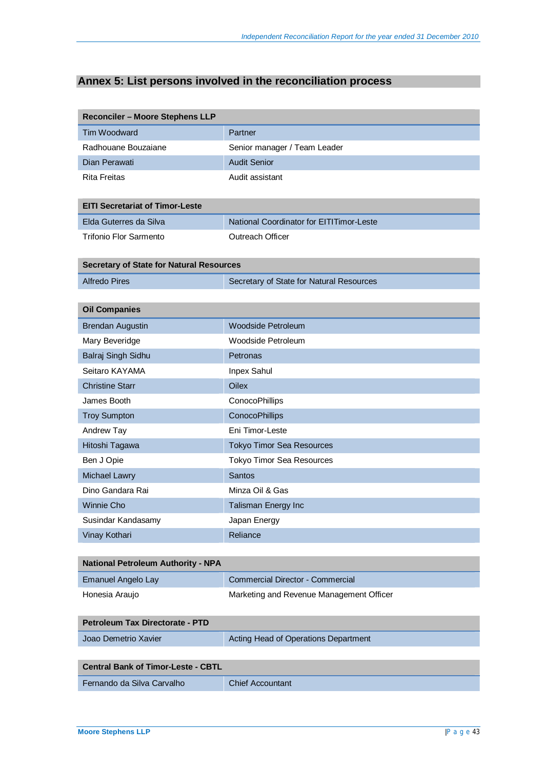# **Annex 5: List persons involved in the reconciliation process**

| <b>Reconciler - Moore Stephens LLP</b>          |                                          |
|-------------------------------------------------|------------------------------------------|
| Tim Woodward                                    | Partner                                  |
| Radhouane Bouzaiane                             | Senior manager / Team Leader             |
| Dian Perawati                                   | <b>Audit Senior</b>                      |
| <b>Rita Freitas</b>                             | Audit assistant                          |
|                                                 |                                          |
| <b>EITI Secretariat of Timor-Leste</b>          |                                          |
| Elda Guterres da Silva                          | National Coordinator for EITITimor-Leste |
| <b>Trifonio Flor Sarmento</b>                   | Outreach Officer                         |
| <b>Secretary of State for Natural Resources</b> |                                          |
| <b>Alfredo Pires</b>                            | Secretary of State for Natural Resources |
|                                                 |                                          |
| <b>Oil Companies</b>                            |                                          |
| <b>Brendan Augustin</b>                         | <b>Woodside Petroleum</b>                |
| Mary Beveridge                                  | Woodside Petroleum                       |
| Balraj Singh Sidhu                              | Petronas                                 |
| Seitaro KAYAMA                                  | Inpex Sahul                              |
| <b>Christine Starr</b>                          | <b>Oilex</b>                             |
| James Booth                                     | ConocoPhillips                           |
| <b>Troy Sumpton</b>                             | ConocoPhillips                           |
| Andrew Tay                                      | Eni Timor-Leste                          |
| Hitoshi Tagawa                                  | <b>Tokyo Timor Sea Resources</b>         |
| Ben J Opie                                      | <b>Tokyo Timor Sea Resources</b>         |
| <b>Michael Lawry</b>                            | <b>Santos</b>                            |
| Dino Gandara Rai                                | Minza Oil & Gas                          |
| Winnie Cho                                      | Talisman Energy Inc                      |
| Susindar Kandasamy                              | Japan Energy                             |
| Vinay Kothari                                   | Reliance                                 |
|                                                 |                                          |
| <b>National Petroleum Authority - NPA</b>       |                                          |
| <b>Emanuel Angelo Lay</b>                       | Commercial Director - Commercial         |
| Honesia Araujo                                  | Marketing and Revenue Management Officer |
|                                                 |                                          |
| <b>Petroleum Tax Directorate - PTD</b>          |                                          |
| Joao Demetrio Xavier                            | Acting Head of Operations Department     |
|                                                 |                                          |
| <b>Central Bank of Timor-Leste - CBTL</b>       |                                          |
| Fernando da Silva Carvalho                      | <b>Chief Accountant</b>                  |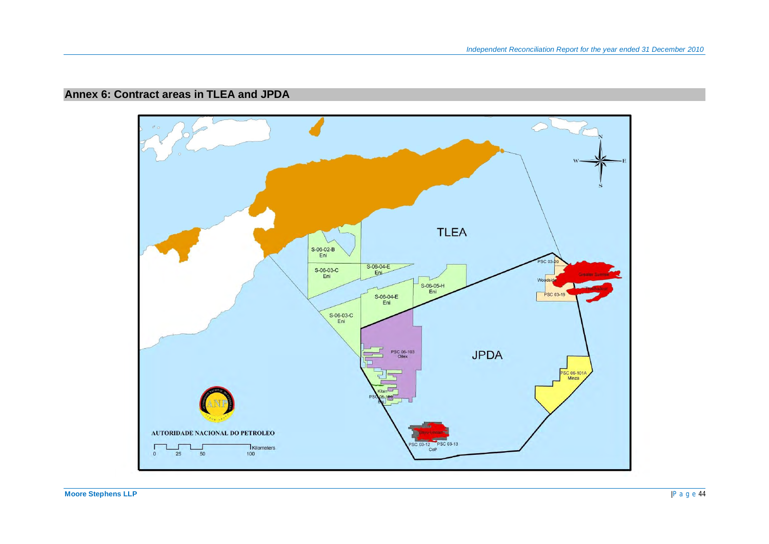# **Annex 6: Contract areas in TLEA and JPDA**